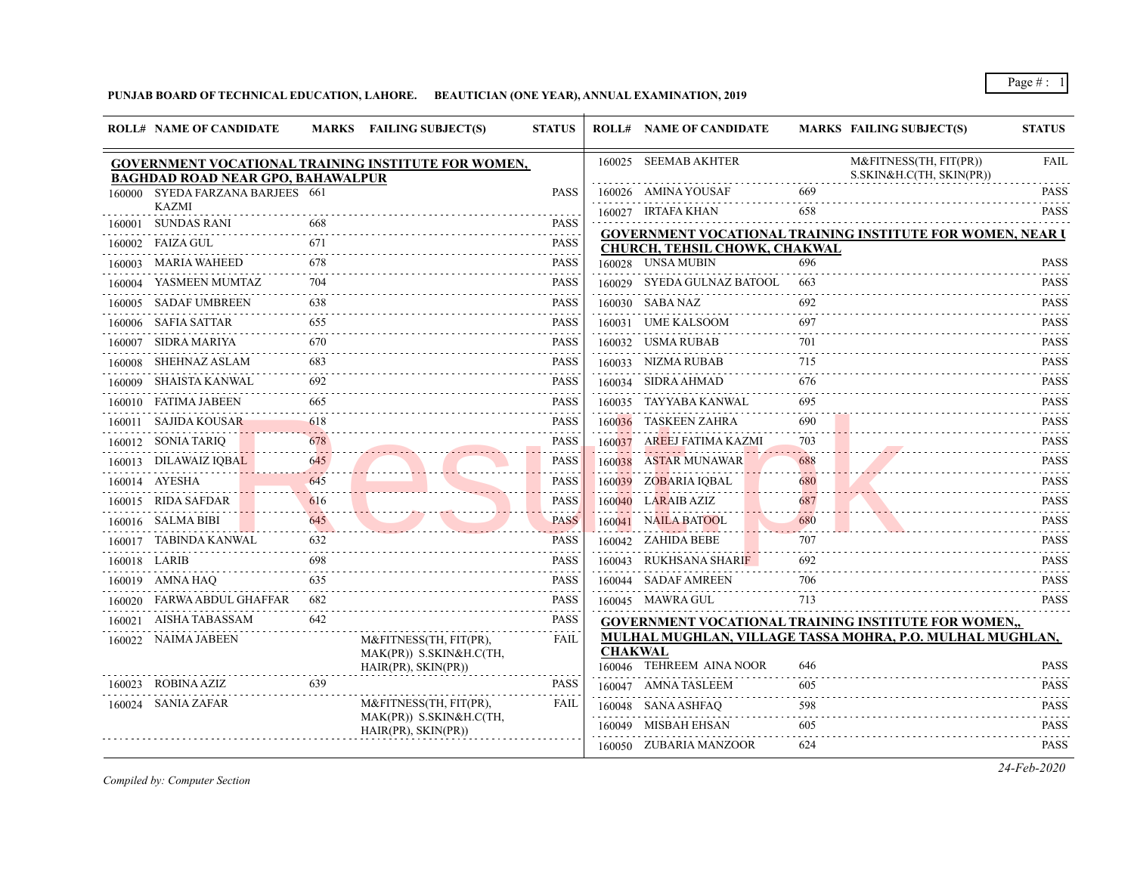## **PUNJAB BOARD OF TECHNICAL EDUCATION, LAHORE. BEAUTICIAN (ONE YEAR), ANNUAL EXAMINATION, 2019**

|        | <b>ROLL# NAME OF CANDIDATE</b>           |     | <b>MARKS</b> FAILING SUBJECT(S)                     | <b>STATUS</b>                                                    |                | <b>ROLL# NAME OF CANDIDATE</b> |     | <b>MARKS FAILING SUBJECT(S)</b>                                   | <b>STATUS</b>                                                                                                                                                                                                       |
|--------|------------------------------------------|-----|-----------------------------------------------------|------------------------------------------------------------------|----------------|--------------------------------|-----|-------------------------------------------------------------------|---------------------------------------------------------------------------------------------------------------------------------------------------------------------------------------------------------------------|
|        | <b>BAGHDAD ROAD NEAR GPO, BAHAWALPUR</b> |     | GOVERNMENT VOCATIONAL TRAINING INSTITUTE FOR WOMEN, |                                                                  |                | 160025 SEEMAB AKHTER           |     | M&FITNESS(TH, FIT(PR))<br>S.SKIN&H.C(TH, SKIN(PR))                | <b>FAIL</b>                                                                                                                                                                                                         |
|        | 160000 SYEDA FARZANA BARJEES 661         |     |                                                     | <b>PASS</b>                                                      |                | 160026 AMINA YOUSAF            | 669 |                                                                   | <b>PASS</b>                                                                                                                                                                                                         |
|        | <b>KAZMI</b>                             |     |                                                     | $-1 - 1 - 1$                                                     |                | 160027 IRTAFA KHAN             | 658 |                                                                   | <b>PASS</b>                                                                                                                                                                                                         |
|        | 160001 SUNDAS RANI                       | 668 |                                                     | <b>PASS</b>                                                      |                |                                |     | <b>GOVERNMENT VOCATIONAL TRAINING INSTITUTE FOR WOMEN, NEAR I</b> |                                                                                                                                                                                                                     |
|        | 160002 FAIZA GUL                         | 671 |                                                     | <b>PASS</b>                                                      |                | CHURCH, TEHSIL CHOWK, CHAKWAL  |     |                                                                   |                                                                                                                                                                                                                     |
| 160003 | MARIA WAHEED                             | 678 |                                                     | <b>PASS</b>                                                      |                | 160028 UNSA MUBIN              | 696 |                                                                   | <b>PASS</b>                                                                                                                                                                                                         |
|        | 160004 YASMEEN MUMTAZ                    | 704 |                                                     | <b>PASS</b>                                                      |                | 160029 SYEDA GULNAZ BATOOL     | 663 |                                                                   | <b>PASS</b><br>.                                                                                                                                                                                                    |
|        | 160005 SADAF UMBREEN                     | 638 |                                                     | <b>PASS</b>                                                      |                | 160030 SABA NAZ                | 692 |                                                                   | PASS<br>$- - - - - - -$                                                                                                                                                                                             |
|        | 160006 SAFIA SATTAR                      | 655 |                                                     | <b>PASS</b>                                                      |                | 160031 UME KALSOOM             | 697 |                                                                   | <b>PASS</b>                                                                                                                                                                                                         |
| 160007 | SIDRA MARIYA                             | 670 |                                                     | <b>PASS</b>                                                      |                | 160032 USMA RUBAB              | 701 |                                                                   | <b>PASS</b>                                                                                                                                                                                                         |
|        | 160008 SHEHNAZ ASLAM                     | 683 |                                                     | <b>PASS</b>                                                      |                | 160033 NIZMA RUBAB             | 715 |                                                                   | <b>PASS</b>                                                                                                                                                                                                         |
|        | 160009 SHAISTA KANWAL                    | 692 |                                                     | <b>PASS</b>                                                      |                | 160034 SIDRA AHMAD             | 676 |                                                                   | <b>PASS</b><br>.                                                                                                                                                                                                    |
| 160010 | FATIMA JABEEN                            | 665 |                                                     | <b>PASS</b><br>$\omega_{\alpha}=\omega_{\alpha}=\omega_{\alpha}$ |                | 160035 TAYYABA KANWAL          | 695 |                                                                   | <b>PASS</b><br>$\mathcal{L}^{\mathcal{A}}\left( \mathcal{A}^{\mathcal{A}}\right) \mathcal{L}^{\mathcal{A}}\left( \mathcal{A}^{\mathcal{A}}\right) \mathcal{L}^{\mathcal{A}}\left( \mathcal{A}^{\mathcal{A}}\right)$ |
|        | 160011 SAJIDA KOUSAR                     | 618 |                                                     | <b>PASS</b>                                                      | 160036         | TASKEEN ZAHRA                  | 690 |                                                                   | <b>PASS</b>                                                                                                                                                                                                         |
|        | 160012 SONIA TARIQ                       | 678 |                                                     | PASS                                                             | 160037         | AREEJ FATIMA KAZMI             | 703 |                                                                   | <b>PASS</b>                                                                                                                                                                                                         |
| 160013 | DILAWAIZ IOBAL                           | 645 |                                                     | <b>PASS</b>                                                      | 160038         | <b>ASTAR MUNAWAR</b>           | 688 |                                                                   | <b>PASS</b>                                                                                                                                                                                                         |
|        | 160014 AYESHA                            | 645 |                                                     | <b>PASS</b>                                                      |                | 160039 ZOBARIA IQBAL           | 680 |                                                                   | <b>PASS</b>                                                                                                                                                                                                         |
|        | 160015 RIDA SAFDAR                       | 616 |                                                     | <b>PASS</b>                                                      |                | 160040 LARAIB AZIZ             | 687 |                                                                   | .<br><b>PASS</b>                                                                                                                                                                                                    |
|        | 160016 SALMA BIBI                        | 645 |                                                     | <b>PASS</b>                                                      |                | 160041 NAILA BATOOL            | 680 |                                                                   | <b>PASS</b>                                                                                                                                                                                                         |
| 160017 | TABINDA KANWAL                           | 632 |                                                     | a a shekar<br><b>PASS</b>                                        |                | 160042 ZAHIDA BEBE             | 707 |                                                                   | <b>PASS</b>                                                                                                                                                                                                         |
|        | 160018 LARIB                             | 698 |                                                     | <b>PASS</b>                                                      |                | 160043 RUKHSANA SHARIF         | 692 |                                                                   | .<br><b>PASS</b>                                                                                                                                                                                                    |
|        | 160019 AMNA HAQ                          | 635 |                                                     | <b>PASS</b>                                                      |                | 160044 SADAF AMREEN            | 706 |                                                                   | .<br><b>PASS</b>                                                                                                                                                                                                    |
| 160020 | FARWA ABDUL GHAFFAR                      | 682 |                                                     | <b>PASS</b>                                                      |                | 160045 MAWRA GUL               | 713 |                                                                   | <b>PASS</b>                                                                                                                                                                                                         |
| 160021 | AISHA TABASSAM                           | 642 |                                                     | <b>PASS</b>                                                      |                |                                |     | <b>GOVERNMENT VOCATIONAL TRAINING INSTITUTE FOR WOMEN,,</b>       |                                                                                                                                                                                                                     |
|        | 160022 NAIMA JABEEN                      |     | M&FITNESS(TH, FIT(PR),<br>MAK(PR)) S.SKIN&H.C(TH,   | <b>FAIL</b>                                                      | <b>CHAKWAL</b> |                                |     | MULHAL MUGHLAN, VILLAGE TASSA MOHRA, P.O. MULHAL MUGHLAN,         |                                                                                                                                                                                                                     |
|        |                                          |     | HAIR(PR), SKIN(PR))                                 |                                                                  |                | 160046 TEHREEM AINA NOOR       | 646 |                                                                   | <b>PASS</b>                                                                                                                                                                                                         |
|        | 160023 ROBINA AZIZ                       | 639 |                                                     | <b>PASS</b>                                                      |                | 160047 AMNA TASLEEM            | 605 |                                                                   | <b>PASS</b>                                                                                                                                                                                                         |
|        | 160024 SANIA ZAFAR                       |     | M&FITNESS(TH, FIT(PR),<br>MAK(PR)) S.SKIN&H.C(TH,   | FAIL                                                             |                | 160048 SANA ASHFAQ             | 598 |                                                                   | <b>PASS</b>                                                                                                                                                                                                         |
|        |                                          |     | HAIR(PR), SKIN(PR))                                 |                                                                  |                | 160049 MISBAH EHSAN            | 605 |                                                                   | <b>PASS</b>                                                                                                                                                                                                         |
|        |                                          |     |                                                     |                                                                  |                | 160050 ZUBARIA MANZOOR         | 624 |                                                                   | <b>PASS</b>                                                                                                                                                                                                         |

*Compiled by: Computer Section*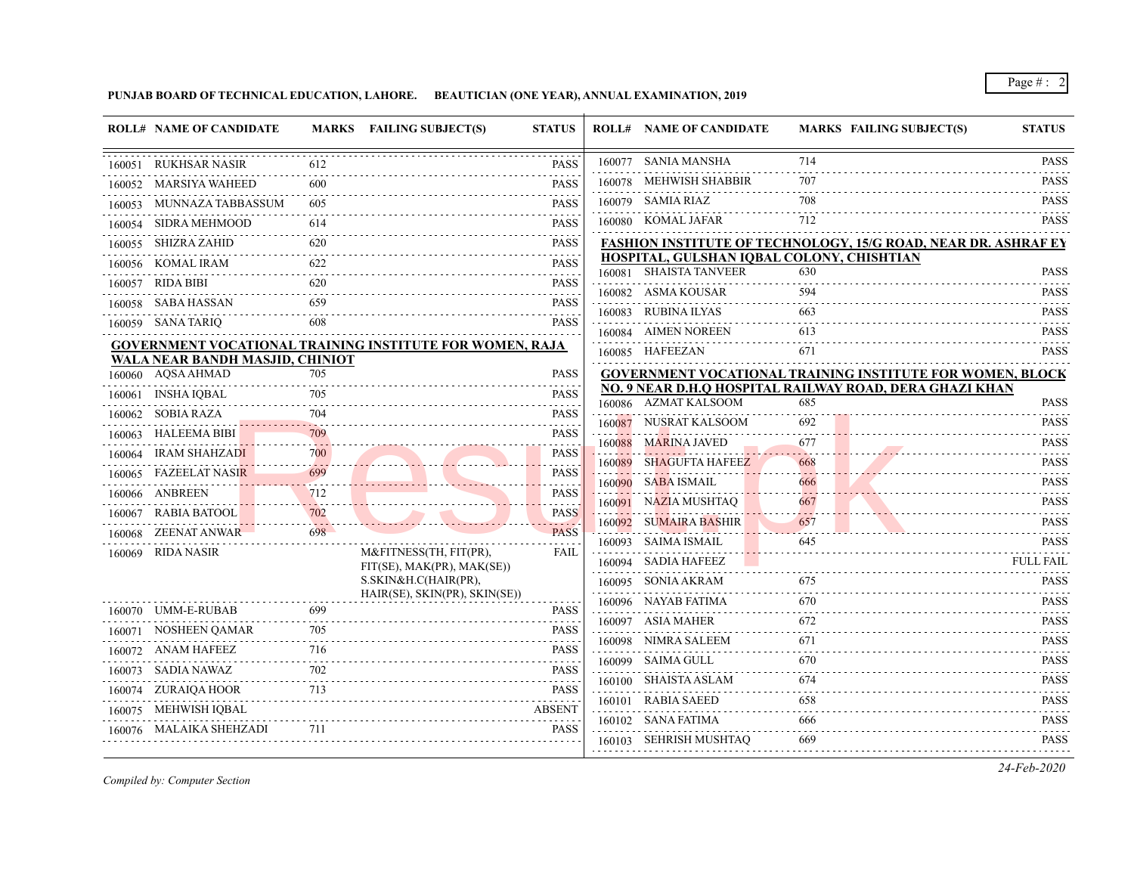**PUNJAB BOARD OF TECHNICAL EDUCATION, LAHORE. BEAUTICIAN (ONE YEAR), ANNUAL EXAMINATION, 2019**

|        | <b>ROLL# NAME OF CANDIDATE</b>         |     | MARKS FAILING SUBJECT(S)                                        | <b>STATUS</b>                                                                                                                                                                                                                                                                                                                                                                                                                             | <b>ROLL# NAME OF CANDIDATE</b> | <b>MARKS FAILING SUBJECT(S)</b>                                       | <b>STATUS</b>                                                                                                                                                                                                       |
|--------|----------------------------------------|-----|-----------------------------------------------------------------|-------------------------------------------------------------------------------------------------------------------------------------------------------------------------------------------------------------------------------------------------------------------------------------------------------------------------------------------------------------------------------------------------------------------------------------------|--------------------------------|-----------------------------------------------------------------------|---------------------------------------------------------------------------------------------------------------------------------------------------------------------------------------------------------------------|
|        | 160051 RUKHSAR NASIR                   | 612 |                                                                 | <b>PASS</b>                                                                                                                                                                                                                                                                                                                                                                                                                               | 160077 SANIA MANSHA            | 714                                                                   | <b>PASS</b><br>2.2.2.2.2.2                                                                                                                                                                                          |
|        | 160052 MARSIYA WAHEED                  | 600 |                                                                 | PASS                                                                                                                                                                                                                                                                                                                                                                                                                                      | 160078 MEHWISH SHABBIR         | 707                                                                   | <b>PASS</b><br>.                                                                                                                                                                                                    |
| 160053 | MUNNAZA TABBASSUM                      | 605 |                                                                 | <b>PASS</b>                                                                                                                                                                                                                                                                                                                                                                                                                               | 160079 SAMIA RIAZ              | 708                                                                   | <b>PASS</b>                                                                                                                                                                                                         |
|        | 160054 SIDRA MEHMOOD                   | 614 |                                                                 | <b>PASS</b>                                                                                                                                                                                                                                                                                                                                                                                                                               | 160080 KOMAL JAFAR             | 712                                                                   | <b>PASS</b>                                                                                                                                                                                                         |
|        | 160055 SHIZRA ZAHID                    | 620 |                                                                 | <b>PASS</b>                                                                                                                                                                                                                                                                                                                                                                                                                               |                                | <b>FASHION INSTITUTE OF TECHNOLOGY, 15/G ROAD, NEAR DR. ASHRAF EY</b> |                                                                                                                                                                                                                     |
|        | 160056 KOMAL IRAM                      | 622 |                                                                 | <b>PASS</b>                                                                                                                                                                                                                                                                                                                                                                                                                               |                                | HOSPITAL, GULSHAN IQBAL COLONY, CHISHTIAN                             |                                                                                                                                                                                                                     |
| 160057 | RIDA BIBI                              | 620 |                                                                 | .<br><b>PASS</b>                                                                                                                                                                                                                                                                                                                                                                                                                          | 160081 SHAISTA TANVEER         | 630                                                                   | <b>PASS</b><br>.                                                                                                                                                                                                    |
|        | 160058 SABA HASSAN                     | 659 |                                                                 | <b>PASS</b>                                                                                                                                                                                                                                                                                                                                                                                                                               | 160082 ASMA KOUSAR             | 594                                                                   | <b>PASS</b>                                                                                                                                                                                                         |
|        | 160059 SANA TARIQ                      | 608 |                                                                 | $\label{eq:2.1} \begin{array}{cccccccccc} \mathbf{1} & \mathbf{1} & \mathbf{1} & \mathbf{1} & \mathbf{1} & \mathbf{1} & \mathbf{1} & \mathbf{1} & \mathbf{1} & \mathbf{1} & \mathbf{1} & \mathbf{1} & \mathbf{1} & \mathbf{1} & \mathbf{1} & \mathbf{1} & \mathbf{1} & \mathbf{1} & \mathbf{1} & \mathbf{1} & \mathbf{1} & \mathbf{1} & \mathbf{1} & \mathbf{1} & \mathbf{1} & \mathbf{1} & \mathbf{1} & \mathbf{1} & \mathbf{1}$<br>PASS | 160083 RUBINA ILYAS            | 663                                                                   | PASS                                                                                                                                                                                                                |
|        |                                        |     | <b>GOVERNMENT VOCATIONAL TRAINING INSTITUTE FOR WOMEN, RAJA</b> |                                                                                                                                                                                                                                                                                                                                                                                                                                           | 160084 AIMEN NOREEN            | 613                                                                   | <b>PASS</b>                                                                                                                                                                                                         |
|        | <b>WALA NEAR BANDH MASJID, CHINIOT</b> |     |                                                                 |                                                                                                                                                                                                                                                                                                                                                                                                                                           | 160085 HAFEEZAN                | 671                                                                   | <b>PASS</b>                                                                                                                                                                                                         |
|        | 160060 AQSA AHMAD                      | 705 |                                                                 | PASS                                                                                                                                                                                                                                                                                                                                                                                                                                      |                                | GOVERNMENT VOCATIONAL TRAINING INSTITUTE FOR WOMEN, BLOCK             |                                                                                                                                                                                                                     |
|        | 160061 INSHA IQBAL                     | 705 |                                                                 | <b>PASS</b>                                                                                                                                                                                                                                                                                                                                                                                                                               | 160086 AZMAT KALSOOM           | NO. 9 NEAR D.H.Q HOSPITAL RAILWAY ROAD, DERA GHAZI KHAN<br>685        | <b>PASS</b>                                                                                                                                                                                                         |
|        | 160062 SOBIA RAZA                      |     |                                                                 | <b>PASS</b>                                                                                                                                                                                                                                                                                                                                                                                                                               | 160087 NUSRAT KALSOOM          | 692                                                                   | <b>PASS</b>                                                                                                                                                                                                         |
|        | 160063 HALEEMA BIBI                    | 709 |                                                                 | <b>PASS</b>                                                                                                                                                                                                                                                                                                                                                                                                                               | 160088 MARINA JAVED            | 677                                                                   | <b>PASS</b>                                                                                                                                                                                                         |
| 160064 | <b>IRAM SHAHZADI</b>                   | 700 |                                                                 | <b>PASS</b>                                                                                                                                                                                                                                                                                                                                                                                                                               | 160089 SHAGUFTA HAFEEZ         |                                                                       | <b>PASS</b>                                                                                                                                                                                                         |
| 160065 | FAZEELAT NASI <mark>R</mark>           | 699 |                                                                 | <b>PASS</b>                                                                                                                                                                                                                                                                                                                                                                                                                               |                                | 668<br>2 1                                                            | $\frac{1}{2} \left( \frac{1}{2} \right) \left( \frac{1}{2} \right) \left( \frac{1}{2} \right) \left( \frac{1}{2} \right) \left( \frac{1}{2} \right) \left( \frac{1}{2} \right)$                                     |
|        | 160066 ANBREEN                         | 712 |                                                                 | .<br><b>PASS</b>                                                                                                                                                                                                                                                                                                                                                                                                                          | 160090 SABA ISMAIL             | 666                                                                   | <b>PASS</b><br>.                                                                                                                                                                                                    |
|        | 160067 RABIA BATOOL                    | 702 |                                                                 | .<br><b>PASS</b>                                                                                                                                                                                                                                                                                                                                                                                                                          | 160091 NAZIA MUSHTAQ           | 667<br>.                                                              | <b>PASS</b>                                                                                                                                                                                                         |
| 160068 | ZEENAT ANWAR                           | 698 |                                                                 | .<br><b>PASS</b>                                                                                                                                                                                                                                                                                                                                                                                                                          | 160092 SUMAIRA BASHIR          | 657                                                                   | <b>PASS</b>                                                                                                                                                                                                         |
|        | 160069 RIDA NASIR                      |     | M&FITNESS(TH, FIT(PR),                                          | <b>FAIL</b>                                                                                                                                                                                                                                                                                                                                                                                                                               | 160093 SAIMA ISMAIL            | 645                                                                   | <b>PASS</b>                                                                                                                                                                                                         |
|        |                                        |     | FIT(SE), MAK(PR), MAK(SE))                                      |                                                                                                                                                                                                                                                                                                                                                                                                                                           | 160094 SADIA HAFEEZ            |                                                                       | <b>FULL FAIL</b>                                                                                                                                                                                                    |
|        |                                        |     | S.SKIN&H.C(HAIR(PR),<br>HAIR(SE), SKIN(PR), SKIN(SE))           |                                                                                                                                                                                                                                                                                                                                                                                                                                           | 160095 SONIA AKRAM             | 675                                                                   | <b>PASS</b><br>.                                                                                                                                                                                                    |
|        | 160070 UMM-E-RUBAB                     | 699 |                                                                 | <b>PASS</b>                                                                                                                                                                                                                                                                                                                                                                                                                               | 160096 NAYAB FATIMA            | 670                                                                   | <b>PASS</b>                                                                                                                                                                                                         |
|        | 160071 NOSHEEN QAMAR                   | 705 |                                                                 | $\omega$ is a set of<br><b>PASS</b>                                                                                                                                                                                                                                                                                                                                                                                                       | 160097 ASIA MAHER              | 672                                                                   | <b>PASS</b><br>.                                                                                                                                                                                                    |
|        | 160072 ANAM HAFEEZ                     | 716 |                                                                 | PASS                                                                                                                                                                                                                                                                                                                                                                                                                                      | 160098 NIMRA SALEEM            | 671                                                                   | <b>PASS</b>                                                                                                                                                                                                         |
|        | 160073 SADIA NAWAZ                     | 702 |                                                                 | .<br><b>PASS</b>                                                                                                                                                                                                                                                                                                                                                                                                                          | 160099 SAIMA GULL              | 670                                                                   | <b>PASS</b>                                                                                                                                                                                                         |
|        | 160074 ZURAIQA HOOR                    |     |                                                                 | .<br><b>PASS</b>                                                                                                                                                                                                                                                                                                                                                                                                                          | 160100 SHAISTA ASLAM           | 674                                                                   | <b>PASS</b><br><u>.</u>                                                                                                                                                                                             |
|        | 160075 MEHWISH IQBAL                   |     |                                                                 | .<br><b>ABSENT</b>                                                                                                                                                                                                                                                                                                                                                                                                                        | 160101 RABIA SAEED             | 658                                                                   | <b>PASS</b>                                                                                                                                                                                                         |
|        | 160076 MALAIKA SHEHZADI                | 711 |                                                                 | .<br><b>PASS</b>                                                                                                                                                                                                                                                                                                                                                                                                                          | 160102 SANA FATIMA             | 666                                                                   | <b>PASS</b><br>$\mathcal{L}^{\mathcal{A}}\left( \mathcal{A}^{\mathcal{A}}\right) \mathcal{L}^{\mathcal{A}}\left( \mathcal{A}^{\mathcal{A}}\right) \mathcal{L}^{\mathcal{A}}\left( \mathcal{A}^{\mathcal{A}}\right)$ |
|        |                                        |     |                                                                 |                                                                                                                                                                                                                                                                                                                                                                                                                                           | 160103 SEHRISH MUSHTAQ         | 669                                                                   | <b>PASS</b>                                                                                                                                                                                                         |

*Compiled by: Computer Section*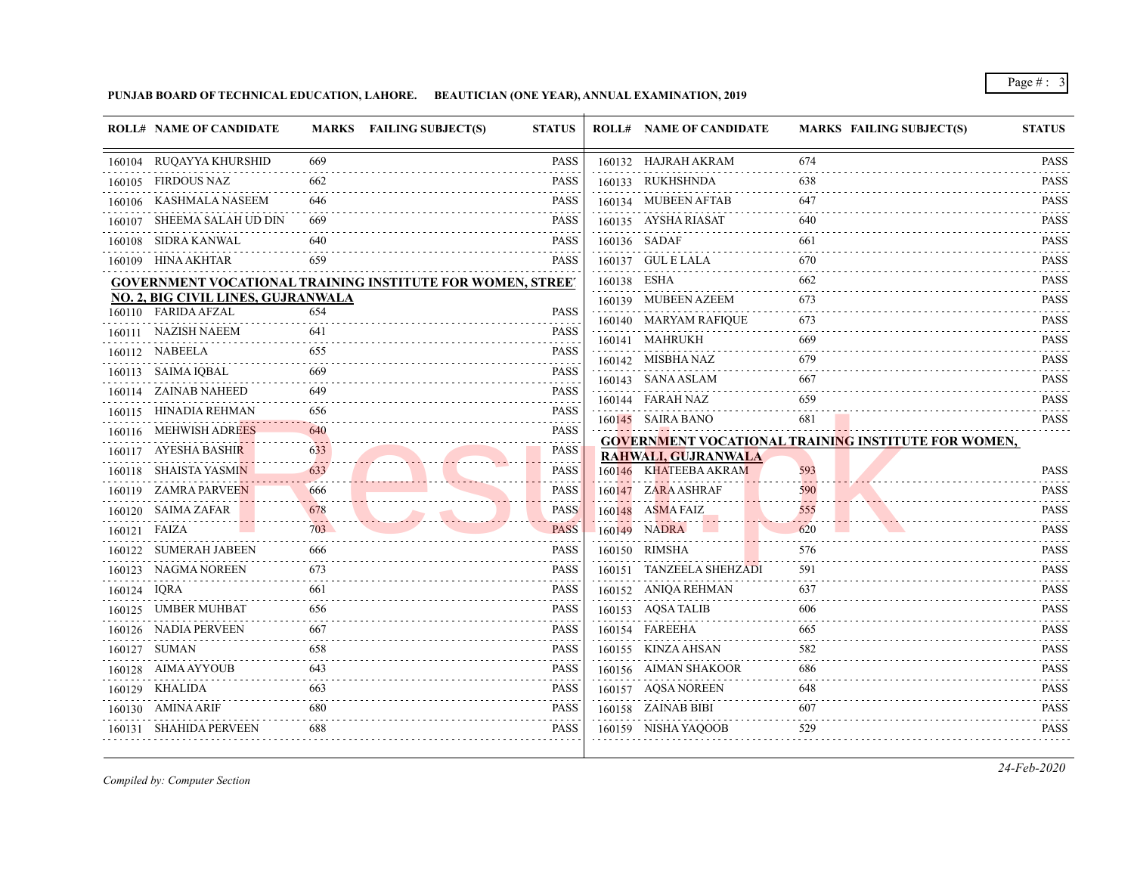**PUNJAB BOARD OF TECHNICAL EDUCATION, LAHORE. BEAUTICIAN (ONE YEAR), ANNUAL EXAMINATION, 2019**

|              | <b>ROLL# NAME OF CANDIDATE</b>            |                             | MARKS FAILING SUBJECT(S)<br><b>STATUS</b>                         | <b>ROLL# NAME OF CANDIDATE</b> | <b>MARKS FAILING SUBJECT(S)</b>                     | <b>STATUS</b>                                |
|--------------|-------------------------------------------|-----------------------------|-------------------------------------------------------------------|--------------------------------|-----------------------------------------------------|----------------------------------------------|
|              | 160104 RUQAYYA KHURSHID                   | 669                         | <b>PASS</b>                                                       | 160132 HAJRAH AKRAM            | 674                                                 | <b>PASS</b>                                  |
|              | 160105 FIRDOUS NAZ                        | 662                         | <b>PASS</b>                                                       | 160133 RUKHSHNDA               | 638                                                 | .<br><b>PASS</b>                             |
|              | 160106 KASHMALA NASEEM                    | 646                         | <b>PASS</b>                                                       | 160134 MUBEEN AFTAB            | 647                                                 | <b>PASS</b>                                  |
|              | 160107 SHEEMA SALAH UD DIN                | 669                         | <b>PASS</b>                                                       | 160135 AYSHA RIASAT            | 640                                                 | <b>PASS</b>                                  |
|              | 160108 SIDRA KANWAL                       | 640                         | <b>PASS</b>                                                       | 160136 SADAF                   | 661                                                 | <b>PASS</b>                                  |
|              | 160109 HINA AKHTAR                        | 659                         | <b>PASS</b>                                                       | 160137 GUL E LALA              | 670                                                 | <b>PASS</b>                                  |
|              |                                           |                             | <b>GOVERNMENT VOCATIONAL TRAINING INSTITUTE FOR WOMEN, STREET</b> | 160138 ESHA                    | 662                                                 | .<br><b>PASS</b>                             |
|              | <b>NO. 2, BIG CIVIL LINES, GUJRANWALA</b> |                             |                                                                   | 160139 MUBEEN AZEEM            | 673                                                 | $\omega$ is a set of $\omega$<br><b>PASS</b> |
|              | 160110 FARIDA AFZAL                       | 654                         | <b>PASS</b>                                                       | 160140 MARYAM RAFIQUE          | 673                                                 | <b>PASS</b>                                  |
|              | 160111 NAZISH NAEEM                       | 641                         | <b>PASS</b>                                                       | 160141 MAHRUKH                 | 669                                                 | .<br><b>PASS</b>                             |
|              | 160112 NABEELA                            | 655                         | <b>PASS</b><br>.                                                  | 160142 MISBHA NAZ              | 679                                                 | <b>PASS</b>                                  |
|              | 160113 SAIMA IQBAL                        | 669                         | <b>PASS</b>                                                       | 160143 SANA ASLAM              | 667                                                 | <b>PASS</b>                                  |
| 160114       | ZAINAB NAHEED                             | 649                         | <b>PASS</b>                                                       | 160144 FARAH NAZ               | 659                                                 | .<br><b>PASS</b>                             |
|              | 160115 HINADIA REHMAN                     | 656                         | <b>PASS</b>                                                       | 160145 SAIRA BANO              | 681                                                 | .<br><b>PASS</b>                             |
|              | 160116 MEHWISH ADREES                     | 640                         | <b>PASS</b><br>2.2.2.2.2                                          |                                | GOVERNMENT VOCATIONAL TRAINING INSTITUTE FOR WOMEN, |                                              |
|              | 160117 AYESHA BASHIR                      | 633<br>$\sim$ $\sim$ $\sim$ | <b>PASS</b><br>2.2.2.2.2                                          | <b>RAHWALI, GUJRANWALA</b>     |                                                     |                                              |
|              | 160118 SHAISTA YASMIN                     | 633                         | <b>PASS</b>                                                       | 160146 KHATEEBA AKRAM          | 593                                                 | <b>PASS</b>                                  |
|              | 160119 ZAMRA PARVEEN                      | 666                         | <b>PASS</b>                                                       | 160147 ZARA ASHRAF             | 590                                                 | <b>PASS</b>                                  |
|              | 160120 SAIMA ZAFAR                        | 678                         | <b>PASS</b>                                                       | 160148 ASMA FAIZ               | 555                                                 | <b>PASS</b><br>.                             |
| 160121 FAIZA |                                           | 703                         | <b>PASS</b>                                                       | 160149 NADRA                   | 620                                                 | <b>PASS</b>                                  |
|              | 160122 SUMERAH JABEEN                     | 666                         | <b>PASS</b>                                                       | 160150 RIMSHA                  | 576                                                 | <b>PASS</b>                                  |
|              | 160123 NAGMA NOREEN                       | 673                         | <b>PASS</b>                                                       | 160151 TANZEELA SHEHZADI       | 591                                                 | <b>PASS</b><br>.                             |
| 160124 IQRA  |                                           | 661                         | <b>PASS</b>                                                       | 160152 ANIQA REHMAN            | 637                                                 | <b>PASS</b><br>.                             |
|              | 160125 UMBER MUHBAT                       | 656                         | <b>PASS</b>                                                       | 160153 AQSA TALIB              | 606                                                 | <b>PASS</b><br>.                             |
|              | 160126 NADIA PERVEEN                      | 667                         | <b>PASS</b>                                                       | 160154 FAREEHA                 | 665                                                 | <b>PASS</b>                                  |
|              | 160127 SUMAN                              | 658                         | <b>PASS</b>                                                       | 160155 KINZA AHSAN             | 582                                                 | <b>PASS</b><br>.                             |
|              | 160128 AIMA AYYOUB                        | 643                         | <b>PASS</b><br>.                                                  | 160156 AIMAN SHAKOOR           | 686                                                 | <b>PASS</b><br>.                             |
|              | 160129 KHALIDA                            | 663                         | <b>PASS</b>                                                       | 160157 AQSA NOREEN             | 648                                                 | <b>PASS</b>                                  |
|              | 160130 AMINA ARIF                         | 680                         | <b>PASS</b><br>.                                                  | 160158 ZAINAB BIBI             | 607                                                 | <b>PASS</b><br>.                             |
|              | 160131 SHAHIDA PERVEEN                    | 688                         | <b>PASS</b>                                                       | 160159 NISHA YAQOOB            | 529                                                 | <b>PASS</b>                                  |

*Compiled by: Computer Section*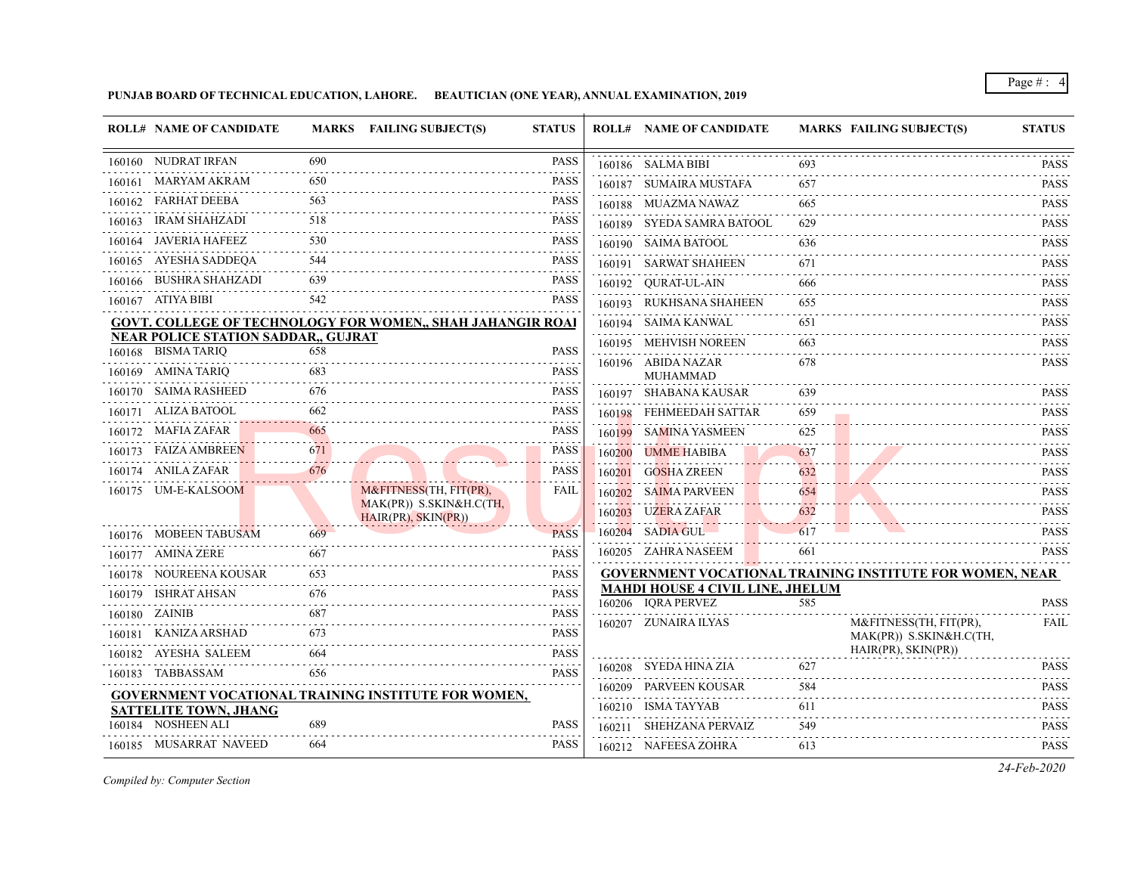**PUNJAB BOARD OF TECHNICAL EDUCATION, LAHORE. BEAUTICIAN (ONE YEAR), ANNUAL EXAMINATION, 2019**

|        | <b>ROLL# NAME OF CANDIDATE</b>                                   |     | MARKS FAILING SUBJECT(S)                                          | <b>STATUS</b>                                                                                                                                                                               |        | <b>ROLL# NAME OF CANDIDATE</b>                                |     | <b>MARKS FAILING SUBJECT(S)</b>                                 | <b>STATUS</b>                   |
|--------|------------------------------------------------------------------|-----|-------------------------------------------------------------------|---------------------------------------------------------------------------------------------------------------------------------------------------------------------------------------------|--------|---------------------------------------------------------------|-----|-----------------------------------------------------------------|---------------------------------|
|        | 160160 NUDRAT IRFAN                                              | 690 |                                                                   | <b>PASS</b>                                                                                                                                                                                 |        | 160186 SALMA BIBI                                             | 693 |                                                                 | <b>PASS</b>                     |
| 160161 | MARYAM AKRAM                                                     | 650 |                                                                   | PASS                                                                                                                                                                                        |        | 160187 SUMAIRA MUSTAFA                                        | 657 |                                                                 | .<br><b>PASS</b>                |
| 160162 | FARHAT DEEBA                                                     | 563 |                                                                   | <b>PASS</b>                                                                                                                                                                                 |        | 160188 MUAZMA NAWAZ                                           | 665 |                                                                 | <b>PASS</b>                     |
| 160163 | <b>IRAM SHAHZADI</b>                                             | 518 |                                                                   | <b>PASS</b>                                                                                                                                                                                 |        | 160189 SYEDA SAMRA BATOOL                                     | 629 |                                                                 | <b>PASS</b>                     |
|        | 160164 JAVERIA HAFEEZ                                            | 530 |                                                                   | PASS                                                                                                                                                                                        |        | 160190 SAIMA BATOOL                                           | 636 |                                                                 | <b>PASS</b>                     |
|        | 160165 AYESHA SADDEQA                                            | 544 |                                                                   | PASS                                                                                                                                                                                        |        | 160191 SARWAT SHAHEEN                                         | 671 |                                                                 | <b>PASS</b>                     |
|        | 160166 BUSHRA SHAHZADI                                           | 639 |                                                                   | <b>PASS</b>                                                                                                                                                                                 |        | 160192 QURAT-UL-AIN                                           | 666 |                                                                 | $-1 - 1 - 1 - 1$<br><b>PASS</b> |
|        | 160167 ATIYA BIBI                                                | 542 |                                                                   | <b>PASS</b>                                                                                                                                                                                 |        | 160193 RUKHSANA SHAHEEN                                       | 655 |                                                                 | .<br><b>PASS</b>                |
|        |                                                                  |     | <b>GOVT. COLLEGE OF TECHNOLOGY FOR WOMEN,, SHAH JAHANGIR ROAI</b> |                                                                                                                                                                                             |        | 160194 SAIMA KANWAL                                           | 651 |                                                                 | <b>PASS</b>                     |
|        | <b>NEAR POLICE STATION SADDAR,, GUJRAT</b><br>160168 BISMA TARIQ | 658 |                                                                   | <b>PASS</b>                                                                                                                                                                                 |        | 160195 MEHVISH NOREEN                                         | 663 |                                                                 | <b>PASS</b>                     |
|        | 160169 AMINA TARIQ                                               | 683 |                                                                   | <b>PASS</b>                                                                                                                                                                                 |        | 160196 ABIDA NAZAR                                            | 678 |                                                                 | .<br>PASS                       |
|        | 160170 SAIMA RASHEED                                             | 676 |                                                                   | <b>PASS</b>                                                                                                                                                                                 |        | <b>MUHAMMAD</b><br>160197 SHABANA KAUSAR                      | 639 |                                                                 | .<br>PASS                       |
|        | 160171 ALIZA BATOOL                                              | 662 |                                                                   | <b>PASS</b>                                                                                                                                                                                 |        | 160198 FEHMEEDAH SATTAR                                       | 659 |                                                                 | <b>PASS</b>                     |
|        | 160172 MAFIA ZAFAR                                               | 665 |                                                                   | <b>PASS</b>                                                                                                                                                                                 |        | 160199 SAMINA YASMEEN                                         | 625 |                                                                 | <b>PASS</b>                     |
|        | 160173 FAIZA AMBREEN                                             | 671 |                                                                   | <b>PASS</b>                                                                                                                                                                                 | 160200 | <b>UMME HABIBA</b>                                            | 637 |                                                                 | <b>PASS</b>                     |
|        | 160174 ANILA ZAFAR                                               | 676 |                                                                   | <b>PASS</b>                                                                                                                                                                                 |        | 160201 GOSHA ZREEN                                            | 632 |                                                                 | <b>PASS</b>                     |
|        | 160175 UM-E-KALSOOM                                              |     | M&FITNESS(TH, FIT(PR),                                            | FAIL                                                                                                                                                                                        | 160202 | SAIMA PARVEEN                                                 | 654 |                                                                 | .<br><b>PASS</b>                |
|        |                                                                  |     | MAK(PR)) S.SKIN&H.C(TH,<br>HAIR(PR), SKIN(PR))                    |                                                                                                                                                                                             |        | 160203 UZERA ZAFAR                                            | 632 |                                                                 | .<br><b>PASS</b>                |
|        | 160176 MOBEEN TABUSAM                                            | 669 |                                                                   | <b>PASS</b>                                                                                                                                                                                 |        | 160204 SADIA GUL                                              | 617 |                                                                 | <b>PASS</b>                     |
|        | 160177 AMINA ZERE                                                | 667 |                                                                   | <b>PASS</b>                                                                                                                                                                                 |        | 160205 ZAHRA NASEEM                                           | 661 |                                                                 | PASS                            |
| 160178 | NOUREENA KOUSAR                                                  | 653 |                                                                   | <b>PASS</b>                                                                                                                                                                                 |        |                                                               |     | <b>GOVERNMENT VOCATIONAL TRAINING INSTITUTE FOR WOMEN, NEAR</b> |                                 |
| 160179 | ISHRAT AHSAN                                                     | 676 |                                                                   | $\mathcal{L}^{\mathcal{A}}\left( \mathcal{L}^{\mathcal{A}}\left( \mathcal{L}^{\mathcal{A}}\right) \right) =\mathcal{L}^{\mathcal{A}}\left( \mathcal{L}^{\mathcal{A}}\right)$<br><b>PASS</b> |        | <b>MAHDI HOUSE 4 CIVIL LINE, JHELUM</b><br>160206 IQRA PERVEZ | 585 |                                                                 | <b>PASS</b>                     |
|        | 160180 ZAINIB                                                    | 687 |                                                                   | PASS                                                                                                                                                                                        |        | 160207 ZUNAIRA ILYAS                                          |     | M&FITNESS(TH, FIT(PR),                                          | <b>FAIL</b>                     |
| 160181 | KANIZA ARSHAD                                                    | 673 |                                                                   | <b>PASS</b>                                                                                                                                                                                 |        |                                                               |     | MAK(PR)) S.SKIN&H.C(TH,                                         |                                 |
| 160182 | AYESHA SALEEM                                                    | 664 |                                                                   | <b>PASS</b>                                                                                                                                                                                 |        |                                                               |     | $HAIR(PR)$ , $SKIN(PR)$                                         |                                 |
|        | 160183 TABBASSAM                                                 | 656 |                                                                   | <b>PASS</b>                                                                                                                                                                                 |        | 160208 SYEDA HINA ZIA                                         | 627 |                                                                 | <b>PASS</b>                     |
|        |                                                                  |     | <b>GOVERNMENT VOCATIONAL TRAINING INSTITUTE FOR WOMEN,</b>        |                                                                                                                                                                                             | 160209 | PARVEEN KOUSAR                                                | 584 |                                                                 | <b>PASS</b>                     |
|        | <b>SATTELITE TOWN, JHANG</b>                                     |     |                                                                   |                                                                                                                                                                                             |        | 160210 ISMA TAYYAB                                            | 611 |                                                                 | <b>PASS</b>                     |
|        | 160184 NOSHEEN ALI                                               | 689 |                                                                   | <b>PASS</b>                                                                                                                                                                                 |        | 160211 SHEHZANA PERVAIZ                                       | 549 |                                                                 | <b>PASS</b>                     |
|        | 160185 MUSARRAT NAVEED                                           | 664 |                                                                   | <b>PASS</b>                                                                                                                                                                                 |        | 160212 NAFEESA ZOHRA                                          | 613 |                                                                 | <b>PASS</b>                     |

*Compiled by: Computer Section*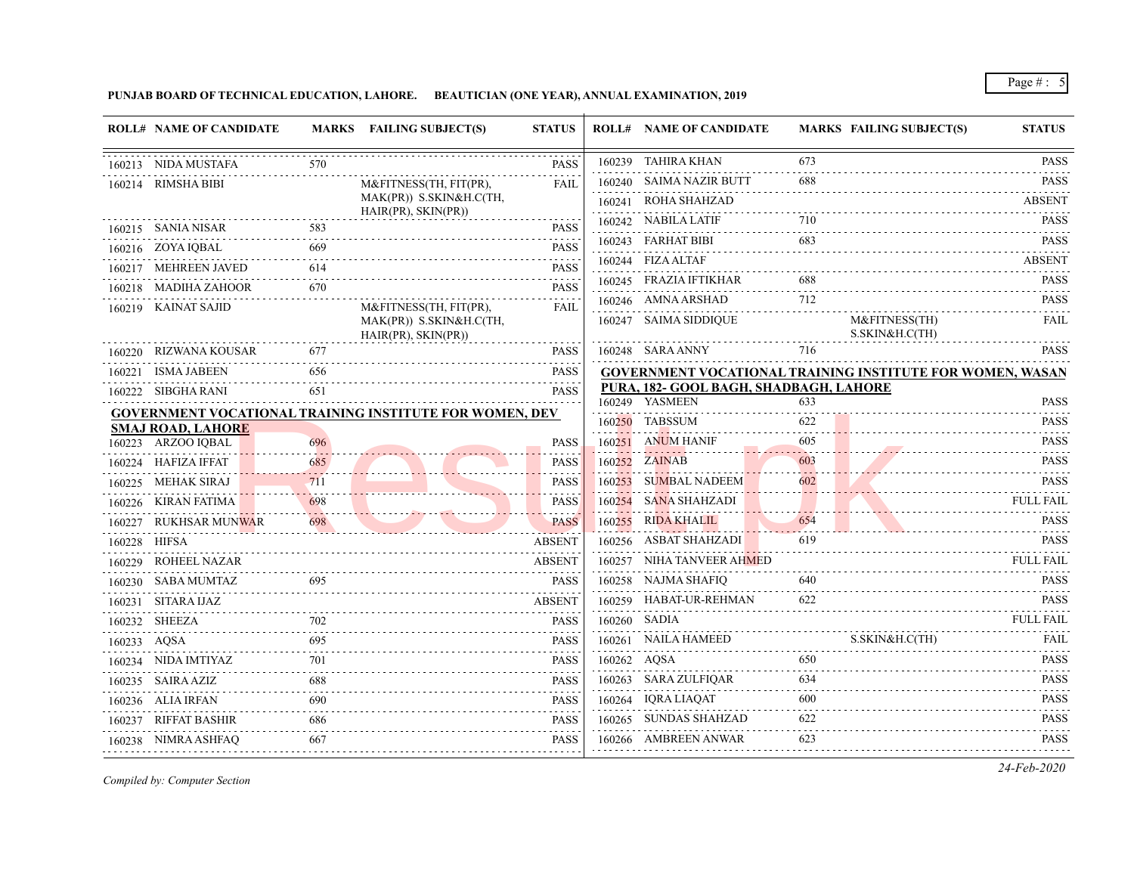**PUNJAB BOARD OF TECHNICAL EDUCATION, LAHORE. BEAUTICIAN (ONE YEAR), ANNUAL EXAMINATION, 2019**

|                   | <b>ROLL# NAME OF CANDIDATE</b>                 |            | MARKS FAILING SUBJECT(S)                                       | <b>STATUS</b>    |             | <b>ROLL# NAME OF CANDIDATE</b>                           |          | <b>MARKS FAILING SUBJECT(S)</b>                                                                                  | <b>STATUS</b>                 |
|-------------------|------------------------------------------------|------------|----------------------------------------------------------------|------------------|-------------|----------------------------------------------------------|----------|------------------------------------------------------------------------------------------------------------------|-------------------------------|
|                   | 160213 NIDA MUSTAFA                            | 570        |                                                                | <b>PASS</b>      |             | 160239 TAHIRA KHAN                                       | 673      |                                                                                                                  | <b>PASS</b>                   |
|                   | 160214 RIMSHA BIBI                             |            | M&FITNESS(TH, FIT(PR),                                         | <b>FAIL</b>      |             | 160240 SAIMA NAZIR BUTT                                  | 688      |                                                                                                                  | <b>PASS</b>                   |
|                   |                                                |            | MAK(PR)) S.SKIN&H.C(TH,                                        |                  |             | 160241 ROHA SHAHZAD                                      |          |                                                                                                                  | <b>ABSENT</b>                 |
|                   | 160215 SANIA NISAR                             |            | HAIR(PR), SKIN(PR))                                            | <b>PASS</b>      |             | 160242 NABILA LATIF                                      | 710      |                                                                                                                  | <b>PASS</b>                   |
|                   | 160216 ZOYA IQBAL                              | 669        |                                                                | <b>PASS</b>      |             | 160243 FARHAT BIBI                                       | 683      |                                                                                                                  | <b>PASS</b>                   |
|                   | 160217 MEHREEN JAVED                           | 614        |                                                                | <b>PASS</b>      |             | 160244 FIZA ALTAF                                        |          |                                                                                                                  | <b>ABSENT</b>                 |
|                   | 160218 MADIHA ZAHOOR                           | 670        |                                                                | .<br><b>PASS</b> |             | 160245 FRAZIA IFTIKHAR                                   |          |                                                                                                                  | <b>PASS</b>                   |
|                   | 160219 KAINAT SAJID                            |            | M&FITNESS(TH, FIT(PR),                                         | FAIL             |             | 160246 AMNA ARSHAD                                       | 712      |                                                                                                                  | <b>PASS</b>                   |
|                   |                                                |            | MAK(PR)) S.SKIN&H.C(TH,<br>$HAIR(PR)$ , $SKIN(PR)$             |                  |             | 160247 SAIMA SIDDIQUE                                    |          | M&FITNESS(TH)<br>S.SKIN&H.C(TH)                                                                                  | FAIL                          |
|                   | 160220 RIZWANA KOUSAR                          | 677        |                                                                | <b>PASS</b>      |             | 160248 SARA ANNY                                         | 716      |                                                                                                                  | <b>PASS</b>                   |
|                   | 160221 ISMA JABEEN                             | 656        |                                                                | <b>PASS</b><br>. |             |                                                          |          | <b>GOVERNMENT VOCATIONAL TRAINING INSTITUTE FOR WOMEN, WASAN</b>                                                 |                               |
|                   | 160222 SIBGHA RANI                             | 651        |                                                                | <b>PASS</b>      |             | PURA, 182- GOOL BAGH, SHADBAGH, LAHORE<br>160249 YASMEEN | 633      |                                                                                                                  | <b>PASS</b>                   |
|                   |                                                |            | <b>GOVERNMENT VOCATIONAL TRAINING INSTITUTE FOR WOMEN, DEV</b> |                  |             | 160250 TABSSUM                                           | 622      |                                                                                                                  | <b>PASS</b>                   |
|                   | <b>SMAJ ROAD, LAHORE</b><br>160223 ARZOO IQBAL |            |                                                                | PASS             |             | 160251 ANUM HANIF                                        | 605      |                                                                                                                  | <b>PASS</b>                   |
|                   | 160224 HAFIZA IFFAT                            | 696<br>685 |                                                                | PASS             |             | 160252 ZAINAB                                            | .<br>603 |                                                                                                                  | <b>PASS</b>                   |
|                   | 160225 MEHAK SIRAJ                             | 711        |                                                                | <b>PASS</b>      |             | 160253 SUMBAL NADEEM                                     | 602      |                                                                                                                  | <b>PASS</b>                   |
|                   | 160226 KIRAN FATIMA                            | 698        |                                                                | <b>PASS</b>      |             | 160254 SANA SHAHZADI                                     |          |                                                                                                                  | <b>FULL FAIL</b>              |
|                   | 160227 RUKHSAR MUNWAR                          | 698        | <u> Alexandria de la contra de la contra de l</u>              | <b>PASS</b>      |             | 160255 RIDA KHALIL                                       |          |                                                                                                                  |                               |
| .<br>160228 HIFSA |                                                |            |                                                                | <b>ABSENT</b>    |             | 160256 ASBAT SHAHZADI                                    | 619      | $\begin{tabular}{c} 654 \end{tabular} \begin{tabular}{l} \hline \textbf{PASS} \\ \textbf{PASS} \\ \end{tabular}$ | <b>PASS</b>                   |
|                   | 160229 ROHEEL NAZAR                            |            |                                                                | <b>ABSENT</b>    |             | 160257 NIHA TANVEER AHMED                                |          |                                                                                                                  | FULL FAIL                     |
|                   | 160230 SABA MUMTAZ                             | 695        |                                                                | <b>PASS</b>      |             | 160258 NAJMA SHAFIQ                                      | 640      |                                                                                                                  | <b>PASS</b>                   |
|                   | 160231 SITARA IJAZ                             |            |                                                                | <b>ABSENT</b>    |             | 160259 HABAT-UR-REHMAN                                   | 622      |                                                                                                                  | <b>PASS</b>                   |
|                   | 160232 SHEEZA                                  |            |                                                                | <b>PASS</b>      |             | 160260 SADIA                                             |          |                                                                                                                  | <b>FULL FAIL</b>              |
| 160233 AQSA       |                                                | 695        |                                                                | <b>PASS</b>      |             | 160261 NAILA HAMEED                                      |          | S.SKIN&H.C(TH)                                                                                                   | FAIL                          |
|                   | 160234 NIDA IMTIYAZ                            |            |                                                                | <b>PASS</b>      | 160262 AQSA |                                                          | 650      |                                                                                                                  | <b>PASS</b>                   |
|                   | 160235 SAIRA AZIZ                              | 688        |                                                                | <b>PASS</b>      |             | 160263 SARA ZULFIQAR                                     | 634      |                                                                                                                  | <b>PASS</b>                   |
|                   | 160236 ALIA IRFAN                              | 690        |                                                                | <b>PASS</b>      |             | 160264 IQRA LIAQAT                                       | 600      |                                                                                                                  | .<br><b>PASS</b>              |
|                   | 160237 RIFFAT BASHIR                           | 686        |                                                                | <b>PASS</b>      |             | 160265 SUNDAS SHAHZAD                                    | 622      |                                                                                                                  | . . <b>.</b> .<br><b>PASS</b> |
|                   |                                                | 667        |                                                                | <b>PASS</b>      |             | 160266 AMBREEN ANWAR                                     | 623      |                                                                                                                  | <b>PASS</b>                   |
|                   | 160238 NIMRA ASHFAQ                            |            |                                                                |                  |             |                                                          |          |                                                                                                                  |                               |

*Compiled by: Computer Section*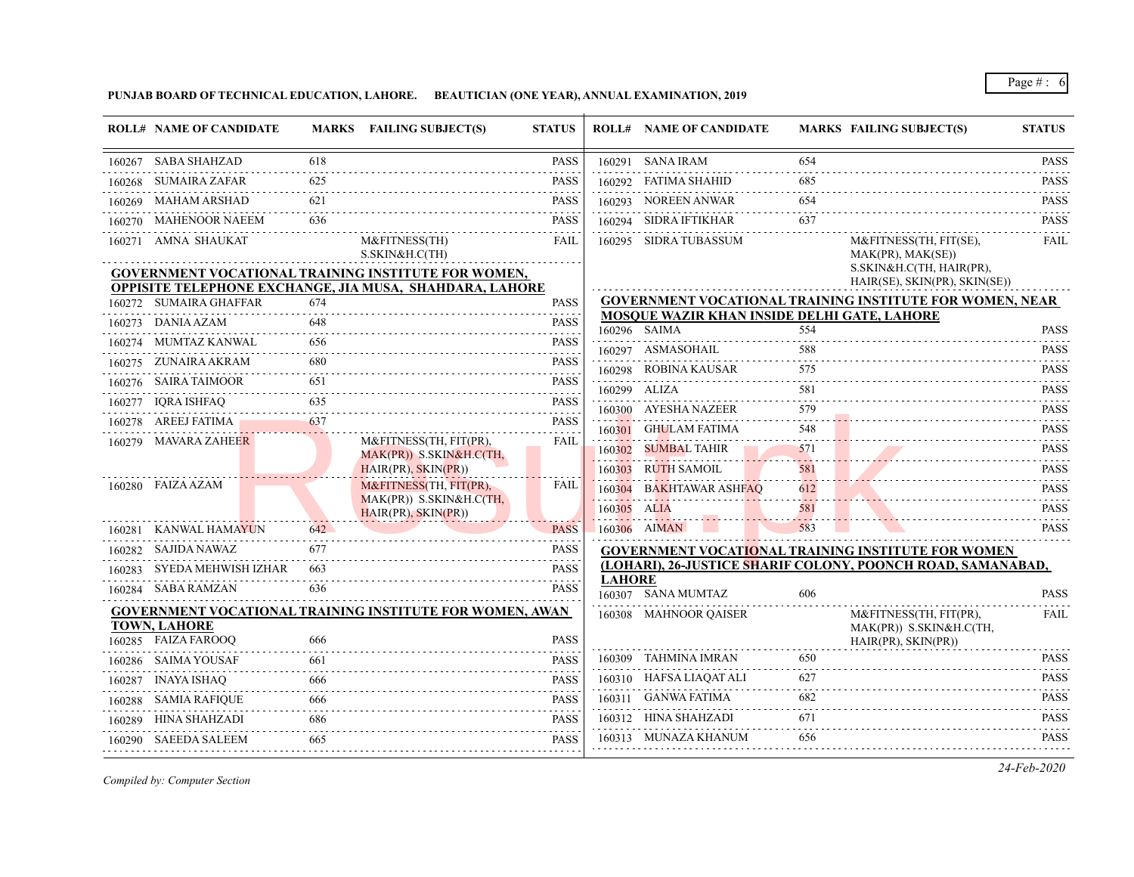**PUNJAB BOARD OF TECHNICAL EDUCATION, LAHORE. BEAUTICIAN (ONE YEAR), ANNUAL EXAMINATION, 2019**

|        | <b>ROLL# NAME OF CANDIDATE</b>             |          | MARKS FAILING SUBJECT(S)                                        | <b>STATUS</b>    |               | <b>ROLL# NAME OF CANDIDATE</b>              |                 | <b>MARKS FAILING SUBJECT(S)</b>                                 | <b>STATUS</b>                                                                                                                                                                                                                                                                                                                                                                                                                                                                                         |
|--------|--------------------------------------------|----------|-----------------------------------------------------------------|------------------|---------------|---------------------------------------------|-----------------|-----------------------------------------------------------------|-------------------------------------------------------------------------------------------------------------------------------------------------------------------------------------------------------------------------------------------------------------------------------------------------------------------------------------------------------------------------------------------------------------------------------------------------------------------------------------------------------|
|        | 160267 SABA SHAHZAD                        | 618      |                                                                 | <b>PASS</b>      |               | 160291 SANA IRAM                            | 654             |                                                                 | <b>PASS</b>                                                                                                                                                                                                                                                                                                                                                                                                                                                                                           |
|        | 160268 SUMAIRA ZAFAR                       | 625      |                                                                 | <b>PASS</b>      |               | 160292 FATIMA SHAHID                        | 685             |                                                                 | 2.2.2.2.2.3<br><b>PASS</b>                                                                                                                                                                                                                                                                                                                                                                                                                                                                            |
|        | 160269 MAHAM ARSHAD                        | 621      |                                                                 | PASS             |               | 160293 NOREEN ANWAR                         | 654             |                                                                 | .<br><b>PASS</b>                                                                                                                                                                                                                                                                                                                                                                                                                                                                                      |
|        | 160270 MAHENOOR NAEEM                      | 636      |                                                                 | <b>PASS</b>      |               | 160294 SIDRA IFTIKHAR                       | 637             |                                                                 | <b>PASS</b>                                                                                                                                                                                                                                                                                                                                                                                                                                                                                           |
|        | 160271 AMNA SHAUKAT                        |          | M&FITNESS(TH)<br>S.SKIN&H.C(TH)                                 | FAIL             |               | 160295 SIDRA TUBASSUM                       |                 | M&FITNESS(TH, FIT(SE),<br>MAK(PR), MAK(SE))                     | FAIL                                                                                                                                                                                                                                                                                                                                                                                                                                                                                                  |
|        |                                            |          | <b>GOVERNMENT VOCATIONAL TRAINING INSTITUTE FOR WOMEN,</b>      |                  |               |                                             |                 | S.SKIN&H.C(TH, HAIR(PR),<br>HAIR(SE), SKIN(PR), SKIN(SE))       |                                                                                                                                                                                                                                                                                                                                                                                                                                                                                                       |
|        | 160272 SUMAIRA GHAFFAR                     | 674      | OPPISITE TELEPHONE EXCHANGE, JIA MUSA, SHAHDARA, LAHORE         | <b>PASS</b>      |               |                                             |                 | <b>GOVERNMENT VOCATIONAL TRAINING INSTITUTE FOR WOMEN, NEAR</b> |                                                                                                                                                                                                                                                                                                                                                                                                                                                                                                       |
|        | 160273 DANIA AZAM                          | 648      |                                                                 | <b>PASS</b>      |               | MOSQUE WAZIR KHAN INSIDE DELHI GATE, LAHORE |                 |                                                                 |                                                                                                                                                                                                                                                                                                                                                                                                                                                                                                       |
|        |                                            |          |                                                                 |                  |               | 160296 SAIMA                                | 554             |                                                                 | <b>PASS</b>                                                                                                                                                                                                                                                                                                                                                                                                                                                                                           |
| 160274 | MUMTAZ KANWAL                              | 656      |                                                                 | <b>PASS</b>      |               | 160297 ASMASOHAIL                           | 588             |                                                                 | <b>PASS</b>                                                                                                                                                                                                                                                                                                                                                                                                                                                                                           |
|        | 160275 ZUNAIRA AKRAM                       |          |                                                                 | <b>PASS</b>      |               | 160298 ROBINA KAUSAR                        | 575             |                                                                 | $\alpha$ , $\alpha$ , $\alpha$ , $\alpha$ , $\alpha$<br><b>PASS</b>                                                                                                                                                                                                                                                                                                                                                                                                                                   |
|        | 160276 SAIRA TAIMOOR                       | 651      |                                                                 | <b>PASS</b>      |               | 160299 ALIZA                                | 581             |                                                                 | <b>PASS</b>                                                                                                                                                                                                                                                                                                                                                                                                                                                                                           |
|        | 160277 IQRA ISHFAQ                         | 635<br>. |                                                                 | <b>PASS</b><br>. |               | 160300 AYESHA NAZEER                        | 579             |                                                                 | <b>PASS</b>                                                                                                                                                                                                                                                                                                                                                                                                                                                                                           |
|        | 160278 AREEJ FATIMA                        | 637      |                                                                 | <b>PASS</b>      |               | 160301 GHULAM FATIMA                        | .<br>548        |                                                                 | <b>PASS</b>                                                                                                                                                                                                                                                                                                                                                                                                                                                                                           |
|        | 160279 MAVARA ZAHEER                       |          | M&FITNESS(TH, FIT(PR),                                          | FAIL             |               | 160302 SUMBAL TAHIR                         | 571             |                                                                 | .<br><b>PASS</b>                                                                                                                                                                                                                                                                                                                                                                                                                                                                                      |
|        |                                            |          | MAK(PR)) S.SKIN&H.C(TH,<br>HAIR(PR), SKIN(PR))                  |                  |               | 160303 RUTH SAMOIL                          | <u>.</u><br>581 |                                                                 | $\begin{array}{cccccccccccccc} \multicolumn{2}{c}{} & \multicolumn{2}{c}{} & \multicolumn{2}{c}{} & \multicolumn{2}{c}{} & \multicolumn{2}{c}{} & \multicolumn{2}{c}{} & \multicolumn{2}{c}{} & \multicolumn{2}{c}{} & \multicolumn{2}{c}{} & \multicolumn{2}{c}{} & \multicolumn{2}{c}{} & \multicolumn{2}{c}{} & \multicolumn{2}{c}{} & \multicolumn{2}{c}{} & \multicolumn{2}{c}{} & \multicolumn{2}{c}{} & \multicolumn{2}{c}{} & \multicolumn{2}{c}{} & \multicolumn{2}{c}{} & \$<br><b>PASS</b> |
|        | 160280 FAIZA AZAM                          |          | M&FITNESS(TH, FIT(PR),                                          | <b>FAIL</b>      |               | 160304 BAKHTAWAR ASHFAO                     | .<br>612        |                                                                 | <b>PASS</b>                                                                                                                                                                                                                                                                                                                                                                                                                                                                                           |
|        |                                            |          | MAK(PR)) S.SKIN&H.C(TH,<br>HAIR(PR), SKIN(PR))                  |                  | 160305 ALIA   |                                             | .<br>581<br>.   |                                                                 | <b>PASS</b>                                                                                                                                                                                                                                                                                                                                                                                                                                                                                           |
|        | 160281 KANWAL HAMAYUN                      | 642      |                                                                 | <b>PASS</b>      |               | 160306 AIMAN                                | 583             |                                                                 | <b>PASS</b>                                                                                                                                                                                                                                                                                                                                                                                                                                                                                           |
| 160282 | SAJIDA NAWAZ                               | 677      |                                                                 | <b>PASS</b>      |               |                                             |                 | <b>GOVERNMENT VOCATIONAL TRAINING INSTITUTE FOR WOMEN</b>       |                                                                                                                                                                                                                                                                                                                                                                                                                                                                                                       |
|        | 160283 SYEDA MEHWISH IZHAR                 |          |                                                                 | <b>PASS</b>      |               |                                             |                 | (LOHARI), 26-JUSTICE SHARIF COLONY, POONCH ROAD, SAMANABAD,     |                                                                                                                                                                                                                                                                                                                                                                                                                                                                                                       |
|        | 160284 SABA RAMZAN                         | 636      |                                                                 | .<br><b>PASS</b> | <b>LAHORE</b> | 160307 SANA MUMTAZ                          | 606             |                                                                 | <b>PASS</b>                                                                                                                                                                                                                                                                                                                                                                                                                                                                                           |
|        |                                            |          | <b>GOVERNMENT VOCATIONAL TRAINING INSTITUTE FOR WOMEN, AWAN</b> |                  |               | 160308 MAHNOOR QAISER                       |                 | M&FITNESS(TH, FIT(PR),                                          | FAIL                                                                                                                                                                                                                                                                                                                                                                                                                                                                                                  |
|        | <b>TOWN, LAHORE</b><br>160285 FAIZA FAROOQ | 666      |                                                                 | <b>PASS</b>      |               |                                             |                 | MAK(PR)) S.SKIN&H.C(TH,<br>$HAIR(PR)$ , $SKIN(PR)$              |                                                                                                                                                                                                                                                                                                                                                                                                                                                                                                       |
|        | 160286 SAIMA YOUSAF                        | 661      |                                                                 | <b>PASS</b>      |               | 160309 TAHMINA IMRAN                        | 650             |                                                                 | <b>PASS</b>                                                                                                                                                                                                                                                                                                                                                                                                                                                                                           |
|        | 160287 INAYA ISHAQ                         | 666      |                                                                 | .<br><b>PASS</b> |               | 160310 HAFSA LIAQAT ALI                     | 627             |                                                                 | $- - - - - -$<br><b>PASS</b>                                                                                                                                                                                                                                                                                                                                                                                                                                                                          |
|        | 160288     SAMIA RAFIQUE                   | 666      |                                                                 | <b>PASS</b>      |               | 160311 GANWA FATIMA                         | 682             |                                                                 | .<br><b>PASS</b>                                                                                                                                                                                                                                                                                                                                                                                                                                                                                      |
|        | 160289 HINA SHAHZADI                       | 686      |                                                                 | <b>PASS</b>      |               | 160312 HINA SHAHZADI                        | 671             |                                                                 | <b>PASS</b>                                                                                                                                                                                                                                                                                                                                                                                                                                                                                           |
|        | 160290 SAEEDA SALEEM                       | 665      |                                                                 | <b>PASS</b>      |               | 160313 MUNAZA KHANUM                        | 656             |                                                                 | <b>PASS</b>                                                                                                                                                                                                                                                                                                                                                                                                                                                                                           |
|        |                                            |          |                                                                 |                  |               |                                             |                 |                                                                 |                                                                                                                                                                                                                                                                                                                                                                                                                                                                                                       |

*Compiled by: Computer Section*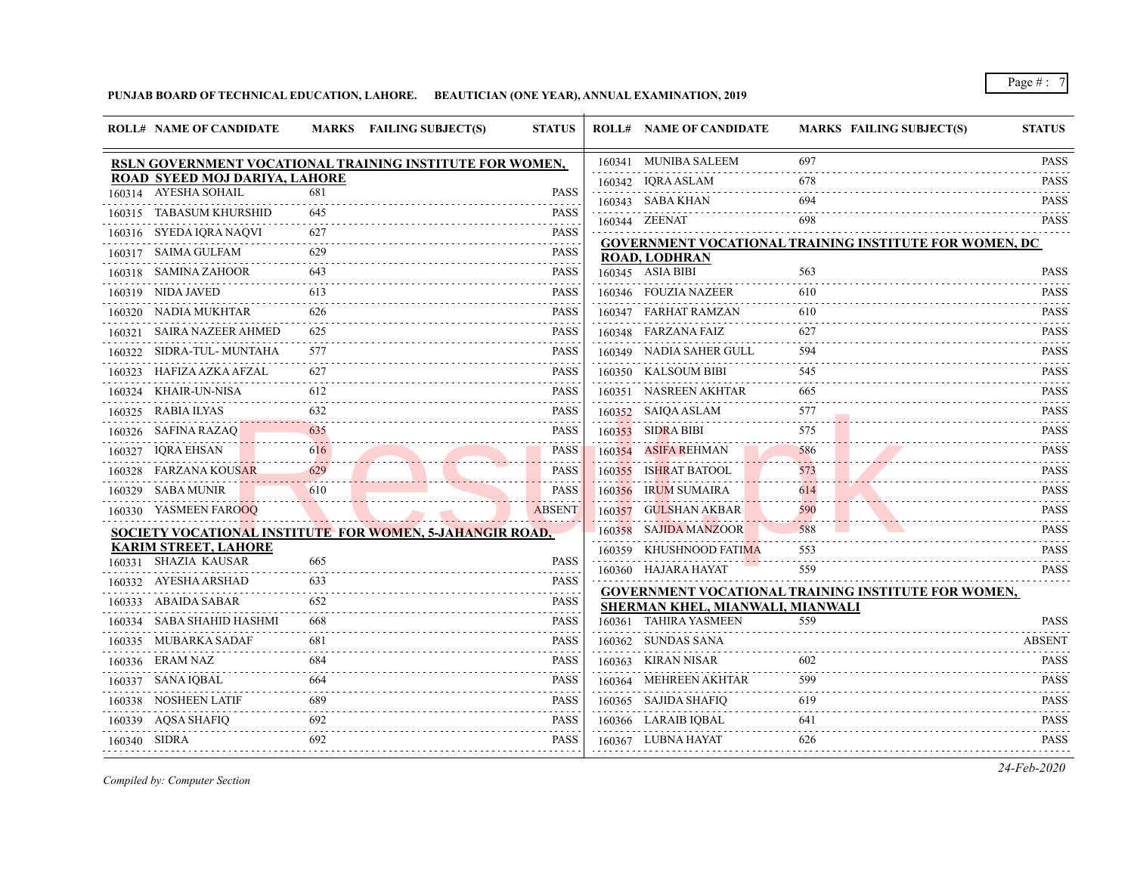## **PUNJAB BOARD OF TECHNICAL EDUCATION, LAHORE. BEAUTICIAN (ONE YEAR), ANNUAL EXAMINATION, 2019**

|              | <b>ROLL# NAME OF CANDIDATE</b> |     | MARKS FAILING SUBJECT(S)                                 | <b>STATUS</b> |        | <b>ROLL# NAME OF CANDIDATE</b>   | <b>MARKS FAILING SUBJECT(S)</b>                               | <b>STATUS</b>                    |
|--------------|--------------------------------|-----|----------------------------------------------------------|---------------|--------|----------------------------------|---------------------------------------------------------------|----------------------------------|
|              |                                |     | RSLN GOVERNMENT VOCATIONAL TRAINING INSTITUTE FOR WOMEN, |               |        | 160341 MUNIBA SALEEM             | 697                                                           | PASS                             |
|              | ROAD SYEED MOJ DARIYA, LAHORE  |     |                                                          |               |        | 160342 IQRA ASLAM                | 678                                                           | <b>PASS</b>                      |
|              | 160314 AYESHA SOHAIL           | 681 |                                                          | <b>PASS</b>   |        | 160343 SABA KHAN                 | 694                                                           | <b>PASS</b>                      |
|              | 160315 TABASUM KHURSHID        | 645 |                                                          | <b>PASS</b>   |        | 160344 ZEENAT                    | 698                                                           | .<br><b>PASS</b>                 |
|              | 160316 SYEDA IQRA NAQVI        | 627 |                                                          | <b>PASS</b>   |        |                                  | <b>GOVERNMENT VOCATIONAL TRAINING INSTITUTE FOR WOMEN, DC</b> |                                  |
|              | 160317 SAIMA GULFAM            | 629 |                                                          | <b>PASS</b>   |        | <b>ROAD, LODHRAN</b>             |                                                               |                                  |
| 160318       | <b>SAMINA ZAHOOR</b>           | 643 |                                                          | <b>PASS</b>   |        | 160345 ASIA BIBI                 | 563                                                           | <b>PASS</b>                      |
|              | 160319 NIDA JAVED              | 613 |                                                          | <b>PASS</b>   |        | 160346 FOUZIA NAZEER             | 610                                                           | <b>PASS</b>                      |
|              | 160320 NADIA MUKHTAR           | 626 |                                                          | <b>PASS</b>   |        | 160347 FARHAT RAMZAN             | 610                                                           | PASS                             |
|              | 160321 SAIRA NAZEER AHMED      | 625 |                                                          | <b>PASS</b>   |        | 160348 FARZANA FAIZ              | 627                                                           | <b>PASS</b>                      |
| 160322       | SIDRA-TUL- MUNTAHA             | 577 |                                                          | <b>PASS</b>   |        | 160349 NADIA SAHER GULL          | 594                                                           | <b>PASS</b><br>.                 |
| 160323       | HAFIZA AZKA AFZAL              | 627 |                                                          | <b>PASS</b>   |        | 160350 KALSOUM BIBI              | 545                                                           | <b>PASS</b><br>$-1 - 1 - 1 - 1$  |
| 160324       | KHAIR-UN-NISA                  | 612 |                                                          | <b>PASS</b>   |        | 160351 NASREEN AKHTAR            | 665                                                           | <b>PASS</b>                      |
| 160325       | RABIA ILYAS                    | 632 |                                                          | <b>PASS</b>   |        | 160352 SAIQA ASLAM               | 577                                                           | <b>PASS</b>                      |
|              | 160326 SAFINA RAZAQ            | 635 |                                                          | <b>PASS</b>   |        | 160353 SIDRA BIBI                | 575                                                           | <b>PASS</b>                      |
|              | 160327 IQRA EHSAN              | 616 |                                                          | <b>PASS</b>   | 160354 | <b>ASIFA REHMAN</b>              | 586                                                           | <b>PASS</b>                      |
| 160328       | <b>FARZANA KOUSAR</b>          | 629 |                                                          | <b>PASS</b>   | 160355 | <b>ISHRAT BATOOL</b>             | 573                                                           | $-1 - 1 - 1$<br><b>PASS</b>      |
|              | 160329 SABA MUNIR              | 610 |                                                          | <b>PASS</b>   | 160356 | IRUM SUMAIRA                     | 614                                                           | والمتمام والمنافذ<br><b>PASS</b> |
|              | 160330 YASMEEN FAROOQ          |     |                                                          | <b>ABSENT</b> | 160357 | GULSHAN AKBAR                    | 590                                                           | <b>PASS</b>                      |
|              |                                |     | SOCIETY VOCATIONAL INSTITUTE FOR WOMEN, 5-JAHANGIR ROAD, |               |        | 160358 SAJIDA MANZOOR            | 588                                                           | <b>PASS</b>                      |
|              | <b>KARIM STREET, LAHORE</b>    |     |                                                          |               |        | 160359 KHUSHNOOD FATIMA          | 553                                                           | <b>PASS</b>                      |
|              | 160331 SHAZIA KAUSAR           | 665 |                                                          | <b>PASS</b>   |        | 160360 HAJARA HAYAT              | 559                                                           | ------<br><b>PASS</b>            |
|              | 160332 AYESHA ARSHAD           | 633 |                                                          | <b>PASS</b>   |        |                                  | <b>GOVERNMENT VOCATIONAL TRAINING INSTITUTE FOR WOMEN,</b>    |                                  |
| 160333       | ABAIDA SABAR                   | 652 |                                                          | <b>PASS</b>   |        | SHERMAN KHEL, MIANWALI, MIANWALI |                                                               |                                  |
| 160334       | SABA SHAHID HASHMI             | 668 |                                                          | <b>PASS</b>   | 160361 | TAHIRA YASMEEN                   | 559                                                           | <b>PASS</b>                      |
|              | 160335 MUBARKA SADAF           | 681 |                                                          | <b>PASS</b>   |        | 160362 SUNDAS SANA               |                                                               | <b>ABSENT</b>                    |
|              | 160336 ERAM NAZ                | 684 |                                                          | <b>PASS</b>   | 160363 | KIRAN NISAR                      | 602                                                           | <b>PASS</b>                      |
|              | 160337 SANA IQBAL              | 664 |                                                          | <b>PASS</b>   |        | 160364 MEHREEN AKHTAR            | 599                                                           | <b>PASS</b>                      |
|              | 160338 NOSHEEN LATIF           | 689 |                                                          | <b>PASS</b>   |        | 160365 SAJIDA SHAFIQ             | 619                                                           | <b>PASS</b><br>.                 |
|              | 160339 AOSA SHAFIO             | 692 |                                                          | <b>PASS</b>   |        | 160366 LARAIB IQBAL              | 641                                                           | <b>PASS</b>                      |
| 160340 SIDRA |                                | 692 |                                                          | <b>PASS</b>   |        | 160367 LUBNA HAYAT               | 626                                                           | <b>PASS</b>                      |
|              |                                |     |                                                          |               |        |                                  |                                                               |                                  |

*Compiled by: Computer Section*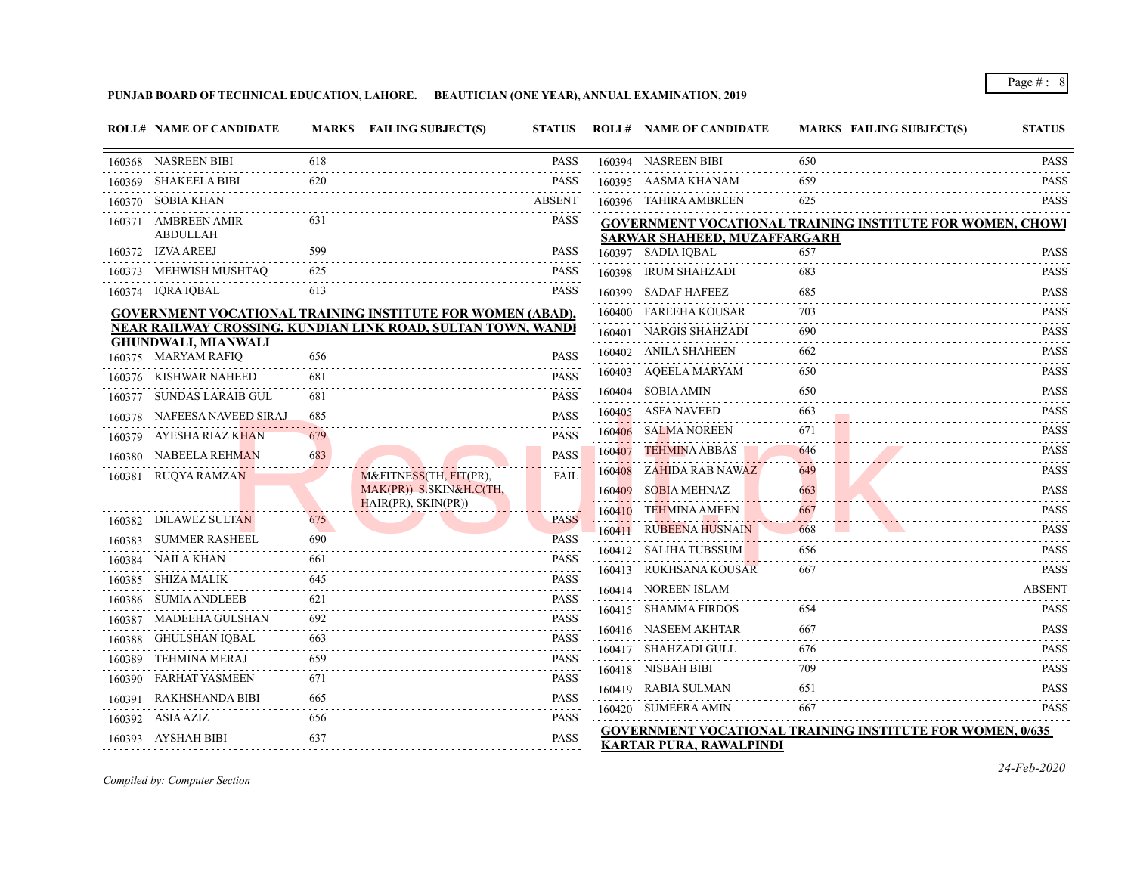**PUNJAB BOARD OF TECHNICAL EDUCATION, LAHORE. BEAUTICIAN (ONE YEAR), ANNUAL EXAMINATION, 2019**

|        | <b>ROLL# NAME OF CANDIDATE</b>                                    |     | MARKS FAILING SUBJECT(S)                       | <b>STATUS</b>                |        | <b>ROLL# NAME OF CANDIDATE</b> | <b>MARKS FAILING SUBJECT(S)</b>                                  | <b>STATUS</b>                                            |
|--------|-------------------------------------------------------------------|-----|------------------------------------------------|------------------------------|--------|--------------------------------|------------------------------------------------------------------|----------------------------------------------------------|
| 160368 | NASREEN BIBI                                                      | 618 |                                                | <b>PASS</b>                  |        | 160394 NASREEN BIBI            | 650                                                              | PASS                                                     |
| 160369 | SHAKEELA BIBI                                                     | 620 |                                                | <b>PASS</b>                  |        | 160395 AASMA KHANAM            | 659                                                              | <b>PASS</b>                                              |
|        | 160370 SOBIA KHAN                                                 |     |                                                | <b>ABSENT</b>                |        | 160396 TAHIRA AMBREEN          | 625                                                              | <b>PASS</b>                                              |
|        | 160371 AMBREEN AMIR<br><b>ABDULLAH</b>                            | 631 |                                                | <b>PASS</b>                  |        | SARWAR SHAHEED, MUZAFFARGARH   | <b>GOVERNMENT VOCATIONAL TRAINING INSTITUTE FOR WOMEN, CHOWI</b> |                                                          |
|        | 160372 IZVA AREEJ                                                 | 599 |                                                | <b>PASS</b>                  |        | 160397 SADIA IQBAL             | 657                                                              | <b>PASS</b>                                              |
|        | 160373 MEHWISH MUSHTAQ                                            | 625 |                                                | <b>PASS</b>                  |        | 160398 IRUM SHAHZADI           | 683                                                              | <b>PASS</b>                                              |
|        | 160374 IQRA IQBAL                                                 | 613 |                                                | <b>PASS</b>                  |        | 160399 SADAF HAFEEZ            | 685                                                              | <b>PASS</b>                                              |
|        | <b>GOVERNMENT VOCATIONAL TRAINING INSTITUTE FOR WOMEN (ABAD),</b> |     |                                                |                              |        | 160400 FAREEHA KOUSAR          | 703                                                              | .<br><b>PASS</b>                                         |
|        | NEAR RAILWAY CROSSING, KUNDIAN LINK ROAD, SULTAN TOWN, WANDI      |     |                                                |                              |        | 160401 NARGIS SHAHZADI         | 690                                                              | <b>PASS</b>                                              |
|        | <b>GHUNDWALI, MIANWALI</b><br>160375 MARYAM RAFIQ                 | 656 |                                                | <b>PASS</b>                  |        | 160402 ANILA SHAHEEN           | 662                                                              | <b>PASS</b><br>.                                         |
| 160376 | KISHWAR NAHEED                                                    | 681 |                                                | <b>PASS</b>                  | 160403 | AOEELA MARYAM                  | 650                                                              | <b>PASS</b>                                              |
| 160377 | SUNDAS LARAIB GUL                                                 | 681 |                                                | <b>PASS</b>                  |        | 160404 SOBIA AMIN              | 650                                                              | <b>PASS</b><br>.                                         |
|        | 160378 NAFEESA NAVEED SIRAJ                                       | 685 |                                                | <b>PASS</b>                  | 160405 | ASFA NAVEED                    | 663                                                              | <b>PASS</b>                                              |
|        | 160379 AYESHA RIAZ KHAN                                           | 679 |                                                | <b>PASS</b>                  |        | 160406 SALMA NOREEN            | 671                                                              | <b>PASS</b>                                              |
| 160380 | NABEELA REHMAN                                                    | 683 |                                                | <b>PASS</b>                  | 160407 | <b>TEHMINA ABBAS</b>           | 646                                                              | PASS<br>$- - - - -$                                      |
|        | 160381 RUQYA RAMZAN                                               |     | M&FITNESS(TH, FIT(PR),                         | FAIL                         |        | 160408 ZAHIDA RAB NAWAZ        | 649<br>a dia a                                                   | <b>PASS</b><br>$\sim$ $\sim$ $\sim$ $\sim$ $\sim$ $\sim$ |
|        |                                                                   |     | MAK(PR)) S.SKIN&H.C(TH,<br>HAIR(PR), SKIN(PR)) |                              | 160409 | SOBIA MEHNAZ                   | 663                                                              | PASS<br>.                                                |
|        | 160382 DILAWEZ SULTAN                                             | 675 |                                                | <b>PASS</b>                  |        | 160410 TEHMINA AMEEN           | 667                                                              | <b>PASS</b>                                              |
| 160383 | <b>SUMMER RASHEEL</b>                                             | 690 |                                                | <b>PASS</b>                  |        | 160411 RUBEENA HUSNAIN         | 668                                                              | <b>PASS</b>                                              |
|        | 160384 NAILA KHAN                                                 | 661 |                                                | $\omega$ is a set of<br>PASS |        | 160412 SALIHA TUBSSUM          | 656                                                              | <b>PASS</b><br>.                                         |
|        | 160385 SHIZA MALIK                                                | 645 |                                                | PASS                         |        | 160413 RUKHSANA KOUSAR         | 667                                                              | <b>PASS</b>                                              |
|        | 160386 SUMIA ANDLEEB                                              | 621 |                                                | <b>PASS</b>                  |        | 160414 NOREEN ISLAM            |                                                                  | <b>ABSENT</b>                                            |
| 160387 | MADEEHA GULSHAN                                                   | 692 |                                                | .<br><b>PASS</b>             |        | 160415 SHAMMA FIRDOS           | 654                                                              | <b>PASS</b><br>.                                         |
|        | 160388 GHULSHAN IQBAL                                             | 663 |                                                | <b>PASS</b>                  |        | 160416 NASEEM AKHTAR           | 667                                                              | <b>PASS</b>                                              |
| 160389 | TEHMINA MERAJ                                                     | 659 |                                                | .<br>PASS                    |        | 160417 SHAHZADI GULL           | 676                                                              | <b>PASS</b><br>.                                         |
| 160390 | <b>FARHAT YASMEEN</b>                                             | 671 |                                                | <b>PASS</b>                  |        | 160418 NISBAH BIBI             | 709                                                              | <b>PASS</b>                                              |
| 160391 | RAKHSHANDA BIBI                                                   | 665 |                                                | <b>PASS</b>                  |        | 160419 RABIA SULMAN            | 651                                                              | <b>PASS</b>                                              |
|        | 160392 ASIA AZIZ                                                  | 656 |                                                | .<br>PASS                    |        | 160420 SUMEERA AMIN            | 667                                                              | <b>PASS</b>                                              |
| 160393 | AYSHAH BIBI                                                       | 637 |                                                | .<br><b>PASS</b>             |        | <b>KARTAR PURA, RAWALPINDI</b> | <b>GOVERNMENT VOCATIONAL TRAINING INSTITUTE FOR WOMEN, 0/635</b> |                                                          |

*Compiled by: Computer Section*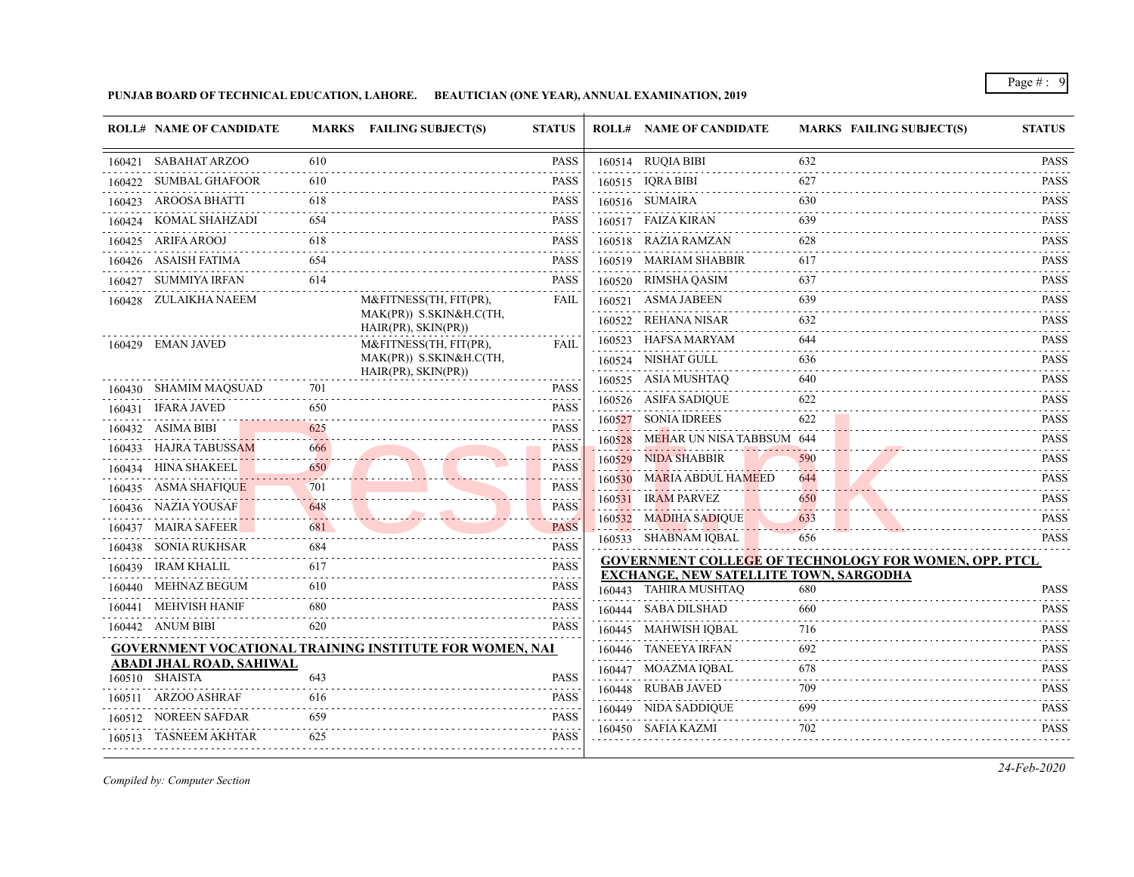**PUNJAB BOARD OF TECHNICAL EDUCATION, LAHORE. BEAUTICIAN (ONE YEAR), ANNUAL EXAMINATION, 2019**

|        | <b>ROLL# NAME OF CANDIDATE</b> |     | MARKS FAILING SUBJECT(S)                                       | <b>STATUS</b>                                                                                                                                                               |        | <b>ROLL# NAME OF CANDIDATE</b>                | <b>MARKS FAILING SUBJECT(S)</b>                              | <b>STATUS</b>                |
|--------|--------------------------------|-----|----------------------------------------------------------------|-----------------------------------------------------------------------------------------------------------------------------------------------------------------------------|--------|-----------------------------------------------|--------------------------------------------------------------|------------------------------|
|        | 160421 SABAHAT ARZOO           | 610 |                                                                | <b>PASS</b>                                                                                                                                                                 |        | 160514 RUQIA BIBI                             | 632                                                          | <b>PASS</b>                  |
|        | 160422 SUMBAL GHAFOOR          | 610 |                                                                | <b>PASS</b>                                                                                                                                                                 |        | 160515 IQRA BIBI                              | 627                                                          | <b>PASS</b>                  |
|        | 160423 AROOSA BHATTI           | 618 |                                                                | <b>PASS</b>                                                                                                                                                                 |        | 160516 SUMAIRA                                | 630                                                          | <b>PASS</b><br>.             |
| 160424 | KOMAL SHAHZADI                 | 654 |                                                                | <b>PASS</b>                                                                                                                                                                 |        | 160517 FAIZA KIRAN                            | 639                                                          | <b>PASS</b>                  |
|        | 160425 ARIFA AROOJ             | 618 |                                                                | <b>PASS</b>                                                                                                                                                                 |        | 160518 RAZIA RAMZAN                           | 628                                                          | .<br><b>PASS</b>             |
|        | 160426 ASAISH FATIMA           | 654 |                                                                | <b>PASS</b>                                                                                                                                                                 |        | 160519 MARIAM SHABBIR                         | 617                                                          | <b>PASS</b>                  |
|        | 160427 SUMMIYA IRFAN           | 614 |                                                                | <b>PASS</b>                                                                                                                                                                 |        | 160520 RIMSHA QASIM                           | 637                                                          | <b>PASS</b>                  |
|        | 160428 ZULAIKHA NAEEM          |     | M&FITNESS(TH, FIT(PR),                                         | FAIL                                                                                                                                                                        |        | 160521 ASMA JABEEN                            | 639                                                          | <b>PASS</b><br>.             |
|        |                                |     | MAK(PR)) S.SKIN&H.C(TH,<br>HAIR(PR), SKIN(PR))                 |                                                                                                                                                                             |        | 160522 REHANA NISAR                           | 632                                                          | <b>PASS</b>                  |
|        | 160429 EMAN JAVED              |     | M&FITNESS(TH, FIT(PR),                                         | <b>FAIL</b>                                                                                                                                                                 |        | 160523 HAFSA MARYAM                           | 644                                                          | .<br><b>PASS</b>             |
|        |                                |     | MAK(PR)) S.SKIN&H.C(TH,                                        |                                                                                                                                                                             |        | 160524 NISHAT GULL                            | 636                                                          | <b>PASS</b>                  |
|        | 160430 SHAMIM MAQSUAD          | 701 | HAIR(PR), SKIN(PR))                                            | <b>PASS</b>                                                                                                                                                                 |        | 160525 ASIA MUSHTAQ                           | 640                                                          | <b>PASS</b>                  |
|        | 160431 IFARA JAVED             | 650 |                                                                | <b>PASS</b>                                                                                                                                                                 |        | 160526 ASIFA SADIQUE                          | 622                                                          | <b>PASS</b>                  |
|        | 160432 ASIMA BIBI              | 625 |                                                                | <b>PASS</b>                                                                                                                                                                 |        | 160527 SONIA IDREES                           | 622                                                          | .<br><b>PASS</b>             |
|        | 160433 HAJRA TABUSSAM          | 666 |                                                                | <b>PASS</b>                                                                                                                                                                 | 160528 | MEHAR UN NISA TABBSUM 644                     |                                                              | <b>PASS</b>                  |
|        | 160434 HINA SHAKEEL            | 650 |                                                                | <b>PASS</b>                                                                                                                                                                 |        | 160529 NIDA SHABBIR                           | 590                                                          | <b>PASS</b>                  |
|        | 160435 ASMA SHAFIQUE           | 701 |                                                                | <b>PASS</b>                                                                                                                                                                 |        | 160530 MARIA ABDUL HAMEED                     | 644                                                          | .<br><b>PASS</b>             |
|        | 160436 NAZIA YOUSAF            | 648 |                                                                | <b>PASS</b>                                                                                                                                                                 |        | 160531 IRAM PARVEZ                            | 650                                                          | <b>PASS</b>                  |
|        | 160437 MAIRA SAFEER            | 681 |                                                                | <b>PASS</b>                                                                                                                                                                 |        | 160532 MADIHA SADIQUE                         | 633                                                          | <b>PASS</b>                  |
|        | 160438 SONIA RUKHSAR           | 684 |                                                                | <b>PASS</b>                                                                                                                                                                 |        | 160533 SHABNAM IQBAL                          | 656                                                          | i i i i i i i<br><b>PASS</b> |
|        | 160439 IRAM KHALIL             | 617 |                                                                | <b>PASS</b>                                                                                                                                                                 |        |                                               | <b>GOVERNMENT COLLEGE OF TECHNOLOGY FOR WOMEN, OPP. PTCL</b> |                              |
|        | 160440 MEHNAZ BEGUM            | 610 |                                                                | <b>PASS</b>                                                                                                                                                                 |        | <b>EXCHANGE, NEW SATELLITE TOWN, SARGODHA</b> |                                                              |                              |
|        | 160441 MEHVISH HANIF           | 680 |                                                                | <b>PASS</b>                                                                                                                                                                 |        | 160443 TAHIRA MUSHTAQ                         | 680                                                          | <b>PASS</b><br>.             |
|        | 160442 ANUM BIBI               | 620 |                                                                | <b>PASS</b>                                                                                                                                                                 |        | 160444 SABA DILSHAD                           | 660                                                          | <b>PASS</b><br>.             |
|        |                                |     |                                                                |                                                                                                                                                                             |        | 160445 MAHWISH IQBAL                          | 716                                                          | <b>PASS</b><br>.             |
|        | ABADI JHAL ROAD, SAHIWAL       |     | <b>GOVERNMENT VOCATIONAL TRAINING INSTITUTE FOR WOMEN, NAI</b> |                                                                                                                                                                             |        | 160446 TANEEYA IRFAN                          | 692                                                          | <b>PASS</b>                  |
|        | 160510 SHAISTA                 | 643 |                                                                | <b>PASS</b>                                                                                                                                                                 |        | 160447 MOAZMA IQBAL                           | 678                                                          | <b>PASS</b>                  |
|        | 160511 ARZOO ASHRAF            | 616 |                                                                | <b>PASS</b>                                                                                                                                                                 |        | 160448 RUBAB JAVED                            | 709                                                          | <b>PASS</b>                  |
|        | 160512 NOREEN SAFDAR           | 659 |                                                                | $\label{eq:2.1} \begin{array}{cccccccccc} \mathbb{L} & \mathbb{L} & \mathbb{L} & \mathbb{L} & \mathbb{L} & \mathbb{L} & \mathbb{L} & \mathbb{L} \end{array}$<br><b>PASS</b> |        | 160449 NIDA SADDIQUE                          |                                                              | <b>PASS</b><br>.             |
|        | 160513 TASNEEM AKHTAR          | 625 |                                                                | <b>PASS</b>                                                                                                                                                                 |        | 160450 SAFIA KAZMI                            | 702                                                          | <b>PASS</b>                  |
|        |                                |     |                                                                |                                                                                                                                                                             |        |                                               |                                                              |                              |

*Compiled by: Computer Section*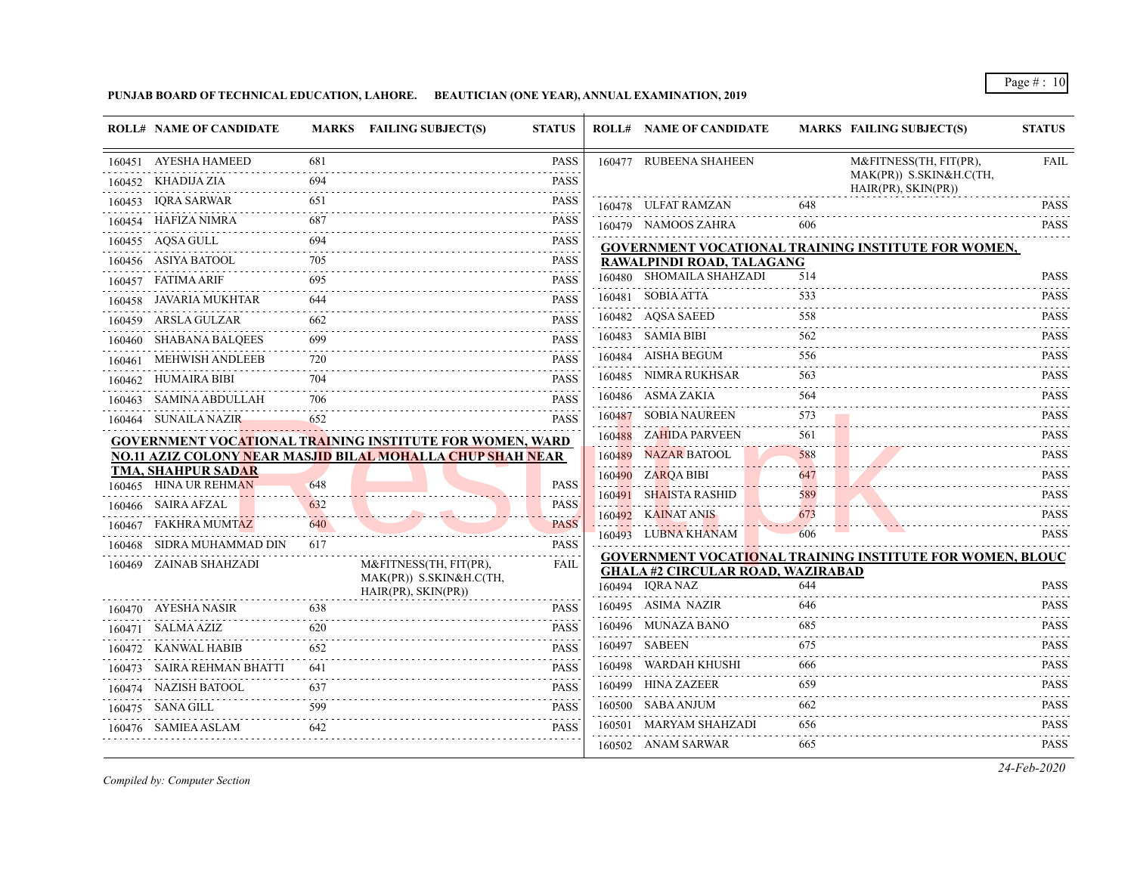## **PUNJAB BOARD OF TECHNICAL EDUCATION, LAHORE. BEAUTICIAN (ONE YEAR), ANNUAL EXAMINATION, 2019**

| 160451 AYESHA HAMEED<br>160477 RUBEENA SHAHEEN<br>681<br><b>PASS</b><br>M&FITNESS(TH, FIT(PR),<br>MAK(PR)) S.SKIN&H.C(TH,<br>160452 KHADIJA ZIA<br><b>PASS</b><br>694<br>HAIR(PR), SKIN(PR))<br>IQRA SARWAR<br>PASS<br>651<br>160453<br>648<br>160478 ULFAT RAMZAN<br>160454 HAFIZA NIMRA<br>687<br><b>PASS</b><br>160479 NAMOOS ZAHRA<br>606<br>160455 AQSA GULL<br>694<br><b>PASS</b><br>GOVERNMENT VOCATIONAL TRAINING INSTITUTE FOR WOMEN,<br>705<br><b>PASS</b><br>160456 ASIYA BATOOL<br>RAWALPINDI ROAD, TALAGANG<br>160480 SHOMAILA SHAHZADI<br>514<br>160457 FATIMA ARIF<br>695<br><b>PASS</b><br>160481 SOBIA ATTA<br>533<br>160458 JAVARIA MUKHTAR<br>644<br><b>PASS</b><br>.<br>160482 AQSA SAEED<br>558<br>160459 ARSLA GULZAR<br><b>PASS</b><br>662<br>160483 SAMIA BIBI<br>562<br>160460 SHABANA BALQEES<br>699<br><b>PASS</b><br>160484 AISHA BEGUM<br>556<br>MEHWISH ANDLEEB<br>720<br><b>PASS</b><br>160461<br>160485 NIMRA RUKHSAR<br>563<br>160462 HUMAIRA BIBI<br><b>PASS</b><br>704<br>160486 ASMA ZAKIA<br>564<br>160463 SAMINA ABDULLAH<br>706<br><b>PASS</b><br>160487 SOBIA NAUREEN<br>573<br>160464 SUNAILA NAZIR<br>652<br><b>PASS</b><br>160488 ZAHIDA PARVEEN<br>561<br><b>GOVERNMENT VOCATIONAL TRAINING INSTITUTE FOR WOMEN, WARD</b> |                                              |
|-----------------------------------------------------------------------------------------------------------------------------------------------------------------------------------------------------------------------------------------------------------------------------------------------------------------------------------------------------------------------------------------------------------------------------------------------------------------------------------------------------------------------------------------------------------------------------------------------------------------------------------------------------------------------------------------------------------------------------------------------------------------------------------------------------------------------------------------------------------------------------------------------------------------------------------------------------------------------------------------------------------------------------------------------------------------------------------------------------------------------------------------------------------------------------------------------------------------------------------------------------------------------|----------------------------------------------|
|                                                                                                                                                                                                                                                                                                                                                                                                                                                                                                                                                                                                                                                                                                                                                                                                                                                                                                                                                                                                                                                                                                                                                                                                                                                                       | <b>FAIL</b>                                  |
|                                                                                                                                                                                                                                                                                                                                                                                                                                                                                                                                                                                                                                                                                                                                                                                                                                                                                                                                                                                                                                                                                                                                                                                                                                                                       |                                              |
|                                                                                                                                                                                                                                                                                                                                                                                                                                                                                                                                                                                                                                                                                                                                                                                                                                                                                                                                                                                                                                                                                                                                                                                                                                                                       | <b>PASS</b>                                  |
|                                                                                                                                                                                                                                                                                                                                                                                                                                                                                                                                                                                                                                                                                                                                                                                                                                                                                                                                                                                                                                                                                                                                                                                                                                                                       | <b>PASS</b>                                  |
|                                                                                                                                                                                                                                                                                                                                                                                                                                                                                                                                                                                                                                                                                                                                                                                                                                                                                                                                                                                                                                                                                                                                                                                                                                                                       |                                              |
|                                                                                                                                                                                                                                                                                                                                                                                                                                                                                                                                                                                                                                                                                                                                                                                                                                                                                                                                                                                                                                                                                                                                                                                                                                                                       |                                              |
|                                                                                                                                                                                                                                                                                                                                                                                                                                                                                                                                                                                                                                                                                                                                                                                                                                                                                                                                                                                                                                                                                                                                                                                                                                                                       | <b>PASS</b>                                  |
|                                                                                                                                                                                                                                                                                                                                                                                                                                                                                                                                                                                                                                                                                                                                                                                                                                                                                                                                                                                                                                                                                                                                                                                                                                                                       | <b>PASS</b><br>.                             |
|                                                                                                                                                                                                                                                                                                                                                                                                                                                                                                                                                                                                                                                                                                                                                                                                                                                                                                                                                                                                                                                                                                                                                                                                                                                                       | <b>PASS</b><br>$\omega$ is a set of $\omega$ |
|                                                                                                                                                                                                                                                                                                                                                                                                                                                                                                                                                                                                                                                                                                                                                                                                                                                                                                                                                                                                                                                                                                                                                                                                                                                                       | <b>PASS</b>                                  |
|                                                                                                                                                                                                                                                                                                                                                                                                                                                                                                                                                                                                                                                                                                                                                                                                                                                                                                                                                                                                                                                                                                                                                                                                                                                                       | <b>PASS</b>                                  |
|                                                                                                                                                                                                                                                                                                                                                                                                                                                                                                                                                                                                                                                                                                                                                                                                                                                                                                                                                                                                                                                                                                                                                                                                                                                                       | <b>PASS</b>                                  |
|                                                                                                                                                                                                                                                                                                                                                                                                                                                                                                                                                                                                                                                                                                                                                                                                                                                                                                                                                                                                                                                                                                                                                                                                                                                                       | $- - - - - - -$<br><b>PASS</b>               |
|                                                                                                                                                                                                                                                                                                                                                                                                                                                                                                                                                                                                                                                                                                                                                                                                                                                                                                                                                                                                                                                                                                                                                                                                                                                                       | PASS                                         |
|                                                                                                                                                                                                                                                                                                                                                                                                                                                                                                                                                                                                                                                                                                                                                                                                                                                                                                                                                                                                                                                                                                                                                                                                                                                                       | <b>PASS</b>                                  |
| <b>NAZAR BATOOL</b><br>588<br><b>NO.11 AZIZ COLONY NEAR MASJID BILAL MOHALLA CHUP SHAH NEAR</b><br>160489                                                                                                                                                                                                                                                                                                                                                                                                                                                                                                                                                                                                                                                                                                                                                                                                                                                                                                                                                                                                                                                                                                                                                             | <b>PASS</b>                                  |
| TMA, SHAHPUR SADAR<br>160490 ZARQA BIBI<br>647                                                                                                                                                                                                                                                                                                                                                                                                                                                                                                                                                                                                                                                                                                                                                                                                                                                                                                                                                                                                                                                                                                                                                                                                                        | .<br><b>PASS</b>                             |
| 160465 HINA UR REHMAN<br>648<br><b>PASS</b><br>160491 SHAISTA RASHID<br>589                                                                                                                                                                                                                                                                                                                                                                                                                                                                                                                                                                                                                                                                                                                                                                                                                                                                                                                                                                                                                                                                                                                                                                                           | .<br><b>PASS</b>                             |
| 160466 SAIRA AFZAL<br><b>PASS</b><br>632<br>160492 KAINAT ANIS<br>673                                                                                                                                                                                                                                                                                                                                                                                                                                                                                                                                                                                                                                                                                                                                                                                                                                                                                                                                                                                                                                                                                                                                                                                                 | <b>PASS</b>                                  |
| <b>PASS</b><br>FAKHRA MUMTAZ<br>640<br>160467<br>160493 LUBNA KHANAM<br>606                                                                                                                                                                                                                                                                                                                                                                                                                                                                                                                                                                                                                                                                                                                                                                                                                                                                                                                                                                                                                                                                                                                                                                                           | .<br><b>PASS</b>                             |
| SIDRA MUHAMMAD DIN<br>617<br>PASS<br>160468<br><b>GOVERNMENT VOCATIONAL TRAINING INSTITUTE FOR WOMEN, BLOUC</b>                                                                                                                                                                                                                                                                                                                                                                                                                                                                                                                                                                                                                                                                                                                                                                                                                                                                                                                                                                                                                                                                                                                                                       |                                              |
| 160469 ZAINAB SHAHZADI<br>M&FITNESS(TH, FIT(PR),<br><b>FAIL</b><br><b>GHALA #2 CIRCULAR ROAD, WAZIRABAD</b><br>MAK(PR)) S.SKIN&H.C(TH,                                                                                                                                                                                                                                                                                                                                                                                                                                                                                                                                                                                                                                                                                                                                                                                                                                                                                                                                                                                                                                                                                                                                |                                              |
| 160494 IORA NAZ<br>644<br>HAIR(PR), SKIN(PR))                                                                                                                                                                                                                                                                                                                                                                                                                                                                                                                                                                                                                                                                                                                                                                                                                                                                                                                                                                                                                                                                                                                                                                                                                         | <b>PASS</b>                                  |
| 160495 ASIMA NAZIR<br>646<br>638<br>160470 AYESHA NASIR<br><b>PASS</b>                                                                                                                                                                                                                                                                                                                                                                                                                                                                                                                                                                                                                                                                                                                                                                                                                                                                                                                                                                                                                                                                                                                                                                                                | <b>PASS</b><br>.                             |
| 160496 MUNAZA BANO<br>685<br>160471 SALMA AZIZ<br><b>PASS</b>                                                                                                                                                                                                                                                                                                                                                                                                                                                                                                                                                                                                                                                                                                                                                                                                                                                                                                                                                                                                                                                                                                                                                                                                         | <b>PASS</b><br>.                             |
| 160497 SABEEN<br>675<br>160472 KANWAL HABIB<br>652<br><b>PASS</b>                                                                                                                                                                                                                                                                                                                                                                                                                                                                                                                                                                                                                                                                                                                                                                                                                                                                                                                                                                                                                                                                                                                                                                                                     | <b>PASS</b>                                  |
| WARDAH KHUSHI<br>666<br>160498<br>SAIRA REHMAN BHATTI<br>641<br><b>PASS</b><br>160473                                                                                                                                                                                                                                                                                                                                                                                                                                                                                                                                                                                                                                                                                                                                                                                                                                                                                                                                                                                                                                                                                                                                                                                 | <b>PASS</b><br>$-2.5 - 2.5$                  |
| 160499 HINA ZAZEER<br>659<br>160474 NAZISH BATOOL<br><b>PASS</b><br>637                                                                                                                                                                                                                                                                                                                                                                                                                                                                                                                                                                                                                                                                                                                                                                                                                                                                                                                                                                                                                                                                                                                                                                                               | <b>PASS</b>                                  |
| 160500 SABA ANJUM<br>662<br>160475 SANA GILL<br>599<br><b>PASS</b>                                                                                                                                                                                                                                                                                                                                                                                                                                                                                                                                                                                                                                                                                                                                                                                                                                                                                                                                                                                                                                                                                                                                                                                                    | <b>PASS</b>                                  |
| 160501 MARYAM SHAHZADI<br>656<br>642<br>160476 SAMIEA ASLAM<br><b>PASS</b>                                                                                                                                                                                                                                                                                                                                                                                                                                                                                                                                                                                                                                                                                                                                                                                                                                                                                                                                                                                                                                                                                                                                                                                            | <b>PASS</b>                                  |
| 160502 ANAM SARWAR<br>665                                                                                                                                                                                                                                                                                                                                                                                                                                                                                                                                                                                                                                                                                                                                                                                                                                                                                                                                                                                                                                                                                                                                                                                                                                             |                                              |

*Compiled by: Computer Section*